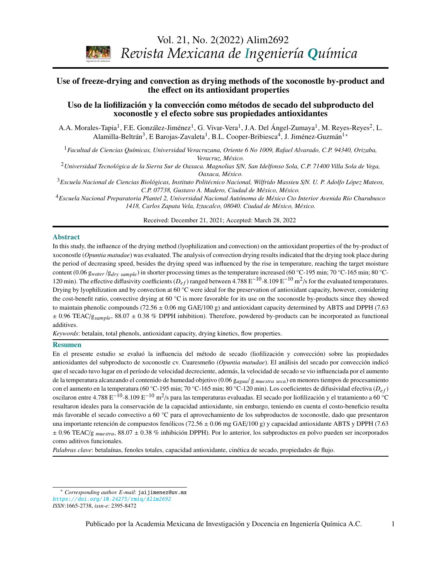Vol. 21, No. 2(2022) Alim2692



*Revista Mexicana de Ingeniería Química*

# Use of freeze-drying and convection as drying methods of the xoconostle by-product and the effect on its antioxidant properties

## Uso de la liofilización y la convección como métodos de secado del subproducto del xoconostle y el efecto sobre sus propiedades antioxidantes

A.A. Morales-Tapia<sup>1</sup>, F.E. González-Jiménez<sup>1</sup>, G. Vivar-Vera<sup>1</sup>, J.A. Del Ángel-Zumaya<sup>1</sup>, M. Reyes-Reyes<sup>2</sup>, L. Alamilla-Beltrán $^3$ , E Barojas-Zavaleta $^1$ , B.L. Cooper-Bribiesca $^4$ , J. Jiménez-Guzmán $^{1*}$  $^{1*}$  $^{1*}$ 

*Stephen Whitaker* <sup>1</sup>*Facultad de Ciencias Químicas, Universidad Veracruzana, Oriente 6 No 1009, Rafael Alvarado, C.P. 94340, Orizaba, Veracruz, México.*

*Biotecnología / Biotechnology*  <sup>2</sup>*Universidad Tecnológica de la Sierra Sur de Oaxaca. Magnolias S*/*N, San Idelfonso Sola, C.P. 71400 Villa Sola de Vega, Oaxaca, México.*

<sup>3</sup>Escuela Nacional de Ciencias Biológicas, Instituto Politécnico Nacional, Wilfrido Massieu S/N. U. P. Adolfo López Mateos, *C.P. 07738, Gustavo A. Madero, Ciudad de México, México.*

<sup>4</sup>Escuela Nacional Preparatoria Plantel 2, Universidad Nacional Autónoma de México Cto Interior Avenida Río Churubusco *1418, Carlos Zapata Vela, Iztacalco, 08040. Ciudad de México, México.*

Received: December 21, 2021; Accepted: March 28, 2022

#### Abstract

In this study, the influence of the drying method (lyophilization and convection) on the antioxidant properties of the by-product of xoconostle (Opuntia matudae) was evaluated. The analysis of convection drying results indicated that the drying took place during  $\frac{1}{2}$  content (0.06 g<sub>water</sub> /g<sub>dry sample</sub>) in shorter processing times as the temperature increased (60 °C-195 min; 70 °C-165 min; 80 °C-120 min). The effective diffusivity coefficients  $(D_{ef})$  ranged between 4.788 E<sup>-10</sup>-8.109 E<sup>-10</sup> m<sup>2</sup>/s for the evaluated temperatures. *Espinosa*  Drying by lyophilization and by convection at 60 °C were ideal for the preservation of antioxidant capacity, however, considering the cost-benefit ratio, convective drying at 60  $^{\circ}$ C is more favorable for its use on the xoconostle by-products since they showed  $\pm$  0.96 TEAC/g<sub>sample</sub>, 88.07  $\pm$  0.38 % DPPH inhibition). Therefore, powdered by-products can be incorporated as functional the period of decreasing speed, besides the drying speed was influenced by the rise in temperature, reaching the target moisture to maintain phenolic compounds (72.56  $\pm$  0.06 mg GAE/100 g) and antioxidant capacity determined by ABTS and DPPH (7.63) additives.

*Keywords*: betalain, total phenols, antioxidant capacity, drying kinetics, flow properties.

### Resumen

*G. Inei-Shizukawa, H. A. Velasco-Bedrán, G. F. Gutiérrez-López and H. Hernández-Sánchez*  En el presente estudio se evaluó la influencia del método de secado (liofilización y convección) sobre las propiedades *Ingeniería de procesos / Process engineering*  que el secado tuvo lugar en el período de velocidad decreciente, además, la velocidad de secado se vio influenciada por el aumento de la temperatura alcanzando el contenido de humedad objetivo (0.06 g<sub>agua</sub>/g muestra seca) en menores tiempos de procesamiento con el aumento en la temperatura (60 °C-195 min; 70 °C-165 min; 80 °C-120 min). Los coeficientes de difusividad efectiva ( $D_{ef}$ ) oscilaron entre 4.788 E<sup>−10</sup>-8.109 E<sup>−10</sup> m<sup>2</sup>/s para las temperaturas evaluadas. El secado por liofilización y el tratamiento a 60 °C *J.R. Medina, R.L. Romero y G.A. Pérez* más favorable el secado convectivo a 60 °C para el aprovechamiento de los subproductos de xoconostle, dado que presentaron antioxidantes del subproducto de xoconostle cv. Cuaresmeño (*Opuntia matudae*). El análisis del secado por convección indicó resultaron ideales para la conservación de la capacidad antioxidante, sin embargo, teniendo en cuenta el costo-beneficio resulta una importante retención de compuestos fenólicos (72.56 ± 0.06 mg GAE/100 g) y capacidad antioxidante ABTS y DPPH (7.63 ± 0.96 TEAC/g *muestra*, 88.07 ± 0.38 % inhibición DPPH). Por lo anterior, los subproductos en polvo pueden ser incorporados como aditivos funcionales.

*Palabras clave*: betalaínas, fenoles totales, capacidad antioxidante, cinética de secado, propiedades de flujo.

<span id="page-0-0"></span><sup>\*</sup> *Corresponding author. E-mail*: jaijimenez@uv.mx <https://doi.org/10.24275/rmiq/Alim2692> *ISSN*:1665-2738, *issn-e*: 2395-8472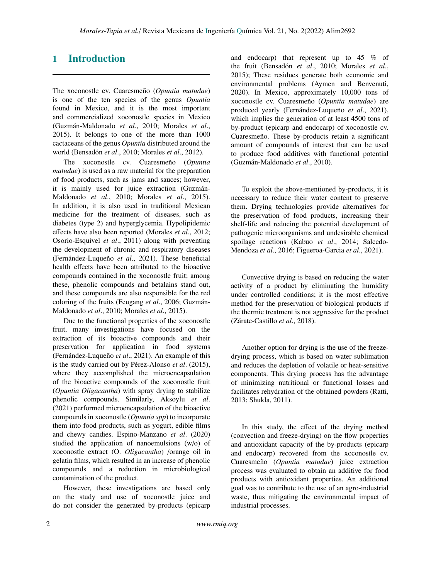# 1 Introduction

The xoconostle cv. Cuaresmeño (*Opuntia matudae*) is one of the ten species of the genus *Opuntia* found in Mexico, and it is the most important and commercialized xoconostle species in Mexico (Guzmán-Maldonado *et al*., 2010; Morales *et al*., 2015). It belongs to one of the more than 1000 cactaceans of the genus *Opuntia* distributed around the world (Bensadón *et al*., 2010; Morales *et al*., 2012).

The xoconostle cv. Cuaresmeño (*Opuntia matudae*) is used as a raw material for the preparation of food products, such as jams and sauces; however, it is mainly used for juice extraction (Guzmán-Maldonado *et al*., 2010; Morales *et al*., 2015). In addition, it is also used in traditional Mexican medicine for the treatment of diseases, such as diabetes (type 2) and hyperglycemia. Hypolipidemic effects have also been reported (Morales *et al*., 2012; Osorio-Esquivel *et al*., 2011) along with preventing the development of chronic and respiratory diseases (Fernández-Luqueño *et al*., 2021). These beneficial health effects have been attributed to the bioactive compounds contained in the xoconostle fruit; among these, phenolic compounds and betalains stand out, and these compounds are also responsible for the red coloring of the fruits (Feugang *et al*., 2006; Guzmán-Maldonado *et al*., 2010; Morales *et al*., 2015).

Due to the functional properties of the xoconostle fruit, many investigations have focused on the extraction of its bioactive compounds and their preservation for application in food systems (Fernández-Luqueño *et al*., 2021). An example of this is the study carried out by Pérez-Alonso *et al*. (2015), where they accomplished the microencapsulation of the bioactive compounds of the xoconostle fruit (*Opuntia Oligacantha*) with spray drying to stabilize phenolic compounds. Similarly, Aksoylu *et al*. (2021) performed microencapsulation of the bioactive compounds in xoconostle (*Opuntia spp*) to incorporate them into food products, such as yogurt, edible films and chewy candies. Espino-Manzano *et al*. (2020) studied the application of nanoemulsions (w/o) of xoconostle extract (O. *Oligacantha*) /orange oil in gelatin films, which resulted in an increase of phenolic compounds and a reduction in microbiological contamination of the product.

However, these investigations are based only on the study and use of xoconostle juice and do not consider the generated by-products (epicarp and endocarp) that represent up to 45 % of the fruit (Bensadón *et al*., 2010; Morales *et al*., 2015); These residues generate both economic and environmental problems (Aymen and Benvenuti, 2020). In Mexico, approximately 10,000 tons of xoconostle cv. Cuaresmeño (*Opuntia matudae*) are produced yearly (Fernández-Luqueño *et al*., 2021), which implies the generation of at least 4500 tons of by-product (epicarp and endocarp) of xoconostle cv. Cuaresmeño. These by-products retain a significant amount of compounds of interest that can be used to produce food additives with functional potential (Guzmán-Maldonado *et al*., 2010).

To exploit the above-mentioned by-products, it is necessary to reduce their water content to preserve them. Drying technologies provide alternatives for the preservation of food products, increasing their shelf-life and reducing the potential development of pathogenic microorganisms and undesirable chemical spoilage reactions (Kabuo *et al*., 2014; Salcedo-Mendoza *et al*., 2016; Figueroa-Garcia *et al*., 2021).

Convective drying is based on reducing the water activity of a product by eliminating the humidity under controlled conditions; it is the most effective method for the preservation of biological products if the thermic treatment is not aggressive for the product (Zárate-Castillo *et al*., 2018).

Another option for drying is the use of the freezedrying process, which is based on water sublimation and reduces the depletion of volatile or heat-sensitive components. This drying process has the advantage of minimizing nutritional or functional losses and facilitates rehydration of the obtained powders (Ratti, 2013; Shukla, 2011).

In this study, the effect of the drying method (convection and freeze-drying) on the flow properties and antioxidant capacity of the by-products (epicarp and endocarp) recovered from the xoconostle cv. Cuaresmeño (*Opuntia matudae*) juice extraction process was evaluated to obtain an additive for food products with antioxidant properties. An additional goal was to contribute to the use of an agro-industrial waste, thus mitigating the environmental impact of industrial processes.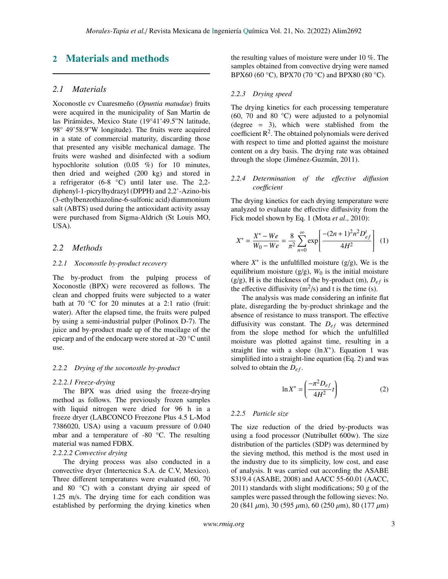# 2 Materials and methods

### *2.1 Materials*

Xoconostle cv Cuaresmeño (*Opuntia matudae*) fruits were acquired in the municipality of San Martin de las Pirámides, Mexico State (19°41'49.5"N latitude, 98° 49'58.9"W longitude). The fruits were acquired in a state of commercial maturity, discarding those that presented any visible mechanical damage. The fruits were washed and disinfected with a sodium hypochlorite solution (0.05 %) for 10 minutes, then dried and weighed (200 kg) and stored in a refrigerator (6-8 °C) until later use. The 2,2 diphenyl-1-picrylhydrazyl (DPPH) and 2,2'-Azino-bis (3-ethylbenzothiazoline-6-sulfonic acid) diammonium salt (ABTS) used during the antioxidant activity assay were purchased from Sigma-Aldrich (St Louis MO, USA).

### *2.2 Methods*

#### *2.2.1 Xoconostle by-product recovery*

The by-product from the pulping process of Xoconostle (BPX) were recovered as follows. The clean and chopped fruits were subjected to a water bath at 70 °C for 20 minutes at a 2:1 ratio (fruit: water). After the elapsed time, the fruits were pulped by using a semi-industrial pulper (Polinox D-7). The juice and by-product made up of the mucilage of the epicarp and of the endocarp were stored at -20 °C until use.

#### *2.2.2 Drying of the xoconostle by-product*

#### *2.2.2.1 Freeze-drying*

The BPX was dried using the freeze-drying method as follows. The previously frozen samples with liquid nitrogen were dried for 96 h in a freeze dryer (LABCONCO Freezone Plus 4.5 L-Mod 7386020, USA) using a vacuum pressure of 0.040 mbar and a temperature of -80 °C. The resulting material was named FDBX.

#### *2.2.2.2 Convective drying*

The drying process was also conducted in a convective dryer (Intertecnica S.A. de C.V, Mexico). Three different temperatures were evaluated (60, 70 and 80 °C) with a constant drying air speed of 1.25 m/s. The drying time for each condition was established by performing the drying kinetics when the resulting values of moisture were under 10 %. The samples obtained from convective drying were named BPX60 (60 °C), BPX70 (70 °C) and BPX80 (80 °C).

#### *2.2.3 Drying speed*

The drying kinetics for each processing temperature (60, 70 and 80 $\degree$ C) were adjusted to a polynomial (degree = 3), which were stablished from the coefficient  $\mathbb{R}^2$ . The obtained polynomials were derived with respect to time and plotted against the moisture content on a dry basis. The drying rate was obtained through the slope (Jiménez-Guzmán, 2011).

### *2.2.4 Determination of the e*ff*ective di*ff*usion coe*ffi*cient*

The drying kinetics for each drying temperature were analyzed to evaluate the effective diffusivity from the Fick model shown by Eq. 1 (Mota *et al*., 2010):

$$
X^* = \frac{X^* - We}{W_0 - We} = \frac{8}{\pi^2} \sum_{n=0}^{\infty} \exp\left[\frac{-(2n+1)^2 n^2 D_{ef}^t}{4H^2}\right] \tag{1}
$$

where  $X^*$  is the unfulfilled moisture ( $g/g$ ), We is the equilibrium moisture  $(g/g)$ ,  $W_0$  is the initial moisture (g/g), H is the thickness of the by-product (m),  $D_{ef}$  is the effective diffusivity  $(m^2/s)$  and t is the time (s).

The analysis was made considering an infinite flat plate, disregarding the by-product shrinkage and the absence of resistance to mass transport. The effective diffusivity was constant. The  $D_{ef}$  was determined from the slope method for which the unfulfilled moisture was plotted against time, resulting in a straight line with a slope  $(\ln X^*)$ . Equation 1 was simplified into a straight-line equation (Eq. 2) and was solved to obtain the  $D_{ef}$ .

$$
\ln X^* = \left(\frac{-\pi^2 D_{ef}}{4H^2} t\right) \tag{2}
$$

### *2.2.5 Particle size*

The size reduction of the dried by-products was using a food processor (Nutribullet 600w). The size distribution of the particles (SDP) was determined by the sieving method, this method is the most used in the industry due to its simplicity, low cost, and ease of analysis. It was carried out according the ASABE S319.4 (ASABE, 2008) and AACC 55-60.01 (AACC, 2011) standards with slight modifications; 50 g of the samples were passed through the following sieves: No. 20 (841  $\mu$ m), 30 (595  $\mu$ m), 60 (250  $\mu$ m), 80 (177  $\mu$ m)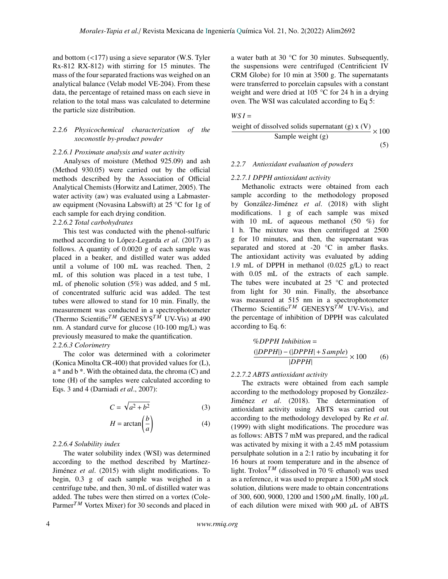and bottom (<177) using a sieve separator (W.S. Tyler Rx-812 RX-812) with stirring for 15 minutes. The mass of the four separated fractions was weighed on an analytical balance (Velab model VE-204). From these data, the percentage of retained mass on each sieve in relation to the total mass was calculated to determine the particle size distribution.

### *2.2.6 Physicochemical characterization of the xoconostle by-product powder*

### *2.2.6.1 Proximate analysis and water activity*

Analyses of moisture (Method 925.09) and ash (Method 930.05) were carried out by the official methods described by the Association of Official Analytical Chemists (Horwitz and Latimer, 2005). The water activity (aw) was evaluated using a Labmasteraw equipment (Novasina Labswift) at 25 °C for 1g of each sample for each drying condition.

### *2.2.6.2 Total carbohydrates*

This test was conducted with the phenol-sulfuric method according to López-Legarda *et al*. (2017) as follows. A quantity of 0.0020 g of each sample was placed in a beaker, and distilled water was added until a volume of 100 mL was reached. Then, 2 mL of this solution was placed in a test tube, 1 mL of phenolic solution (5%) was added, and 5 mL of concentrated sulfuric acid was added. The test tubes were allowed to stand for 10 min. Finally, the measurement was conducted in a spectrophotometer (Thermo Scientific<sup>TM</sup> GENESYS<sup>TM</sup> UV-Vis) at 490 nm. A standard curve for glucose (10-100 mg/L) was previously measured to make the quantification.

### *2.2.6.3 Colorimetry*

The color was determined with a colorimeter (Konica Minolta CR-400) that provided values for (L), a \* and b \*. With the obtained data, the chroma (C) and tone (H) of the samples were calculated according to Eqs. 3 and 4 (Darniadi *et al*., 2007):

$$
C = \sqrt{a^2 + b^2} \tag{3}
$$

$$
H = \arctan\left(\frac{b}{a}\right) \tag{4}
$$

#### *2.2.6.4 Solubility index*

The water solubility index (WSI) was determined according to the method described by Martínez-Jiménez *et al*. (2015) with slight modifications. To begin, 0.3 g of each sample was weighed in a centrifuge tube, and then, 30 mL of distilled water was added. The tubes were then stirred on a vortex (Cole-Parmer<sup>TM</sup> Vortex Mixer) for 30 seconds and placed in a water bath at 30 °C for 30 minutes. Subsequently, the suspensions were centrifuged (Centrificient IV CRM Globe) for 10 min at 3500 g. The supernatants were transferred to porcelain capsules with a constant weight and were dried at 105 °C for 24 h in a drying oven. The WSI was calculated according to Eq 5:

$$
WSI =
$$
  
weight of dissolved solids supernatant (g) x (V)  
Sample weight (g) (5)

#### *2.2.7 Antioxidant evaluation of powders*

### *2.2.7.1 DPPH antioxidant activity*

Methanolic extracts were obtained from each sample according to the methodology proposed by González-Jiménez *et al*. (2018) with slight modifications. 1 g of each sample was mixed with 10 mL of aqueous methanol  $(50 \%)$  for 1 h. The mixture was then centrifuged at 2500 g for 10 minutes, and then, the supernatant was separated and stored at -20 °C in amber flasks. The antioxidant activity was evaluated by adding 1.9 mL of DPPH in methanol (0.025 g/L) to react with 0.05 mL of the extracts of each sample. The tubes were incubated at  $25^{\circ}$ C and protected from light for 30 min. Finally, the absorbance was measured at 515 nm in a spectrophotometer (Thermo Scientific<sup>TM</sup> GENESYS<sup>TM</sup> UV-Vis), and the percentage of inhibition of DPPH was calculated according to Eq. 6:

$$
\frac{\langle (DPPH \mid nhibition =(|DPPH|) - (|DPPH| + Sample)}{|DPPH|} \times 100 \tag{6}
$$

### *2.2.7.2 ABTS antioxidant activity*

The extracts were obtained from each sample according to the methodology proposed by González-Jiménez *et al*. (2018). The determination of antioxidant activity using ABTS was carried out according to the methodology developed by Re *et al*. (1999) with slight modifications. The procedure was as follows: ABTS 7 mM was prepared, and the radical was activated by mixing it with a 2.45 mM potassium persulphate solution in a 2:1 ratio by incubating it for 16 hours at room temperature and in the absence of light. Trolox<sup>*TM*</sup> (dissolved in 70 % ethanol) was used as a reference, it was used to prepare a  $1500 \mu M$  stock solution, dilutions were made to obtain concentrations of 300, 600, 9000, 1200 and 1500  $\mu$ M. finally, 100  $\mu$ L of each dilution were mixed with 900  $\mu$ L of ABTS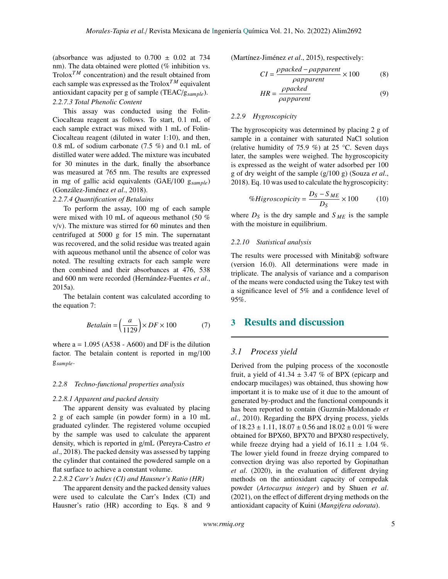(absorbance was adjusted to  $0.700 \pm 0.02$  at 734 nm). The data obtained were plotted (% inhibition vs. Trolox<sup> $TM$ </sup> concentration) and the result obtained from each sample was expressed as the Trolox*T M* equivalent antioxidant capacity per g of sample (TEAC/g*sample*). *2.2.7.3 Total Phenolic Content*

This assay was conducted using the Folin-Ciocalteau reagent as follows. To start, 0.1 mL of each sample extract was mixed with 1 mL of Folin-Ciocalteau reagent (diluted in water 1:10), and then, 0.8 mL of sodium carbonate (7.5 %) and 0.1 mL of distilled water were added. The mixture was incubated for 30 minutes in the dark, finally the absorbance was measured at 765 nm. The results are expressed in mg of gallic acid equivalents (GAE/100 g*sample*) (González-Jiménez *et al*., 2018).

### *2.2.7.4 Quantification of Betalains*

To perform the assay, 100 mg of each sample were mixed with 10 mL of aqueous methanol (50 %  $v/v$ ). The mixture was stirred for 60 minutes and then centrifuged at 5000 g for 15 min. The supernatant was recovered, and the solid residue was treated again with aqueous methanol until the absence of color was noted. The resulting extracts for each sample were then combined and their absorbances at 476, 538 and 600 nm were recorded (Hernández-Fuentes *et al*., 2015a).

The betalain content was calculated according to the equation 7:

$$
Betalain = \left(\frac{a}{1129}\right) \times DF \times 100\tag{7}
$$

where  $a = 1.095$  (A538 - A600) and DF is the dilution factor. The betalain content is reported in mg/100 g*sample*.

### *2.2.8 Techno-functional properties analysis*

#### *2.2.8.1 Apparent and packed density*

The apparent density was evaluated by placing 2 g of each sample (in powder form) in a 10 mL graduated cylinder. The registered volume occupied by the sample was used to calculate the apparent density, which is reported in g/mL (Pereyra-Castro *et al*., 2018). The packed density was assessed by tapping the cylinder that contained the powdered sample on a flat surface to achieve a constant volume.

### *2.2.8.2 Carr's Index (CI) and Hausner's Ratio (HR)*

The apparent density and the packed density values were used to calculate the Carr's Index (CI) and Hausner's ratio (HR) according to Eqs. 8 and 9 (Martínez-Jiménez *et al*., 2015), respectively:

$$
CI = \frac{\rho packet - \rho apparent}{\rho apparent} \times 100
$$
 (8)

$$
HR = \frac{\rho packed}{\rho apparent} \tag{9}
$$

## *2.2.9 Hygroscopicity*

The hygroscopicity was determined by placing 2 g of sample in a container with saturated NaCl solution (relative humidity of 75.9 %) at 25 °C. Seven days later, the samples were weighed. The hygroscopicity is expressed as the weight of water adsorbed per 100 g of dry weight of the sample (g/100 g) (Souza *et al*., 2018). Eq. 10 was used to calculate the hygroscopicity:

$$
\% Higroscopicity = \frac{D_S - S_{ME}}{D_S} \times 100\tag{10}
$$

where  $D_S$  is the dry sample and  $S_{ME}$  is the sample with the moisture in equilibrium.

#### *2.2.10 Statistical analysis*

The results were processed with Minitab® software (version 16.0). All determinations were made in triplicate. The analysis of variance and a comparison of the means were conducted using the Tukey test with a significance level of 5% and a confidence level of 95%.

# 3 Results and discussion

### *3.1 Process yield*

Derived from the pulping process of the xoconostle fruit, a yield of 41.34  $\pm$  3.47 % of BPX (epicarp and endocarp mucilages) was obtained, thus showing how important it is to make use of it due to the amount of generated by-product and the functional compounds it has been reported to contain (Guzmán-Maldonado *et al*., 2010). Regarding the BPX drying process, yields of  $18.23 \pm 1.11$ ,  $18.07 \pm 0.56$  and  $18.02 \pm 0.01$  % were obtained for BPX60, BPX70 and BPX80 respectively, while freeze drying had a yield of  $16.11 \pm 1.04$  %. The lower yield found in freeze drying compared to convection drying was also reported by Gopinathan *et al*. (2020), in the evaluation of different drying methods on the antioxidant capacity of cempedak powder (*Artocarpus integer*) and by Shuen *et al*. (2021), on the effect of different drying methods on the antioxidant capacity of Kuini (*Mangifera odorata*).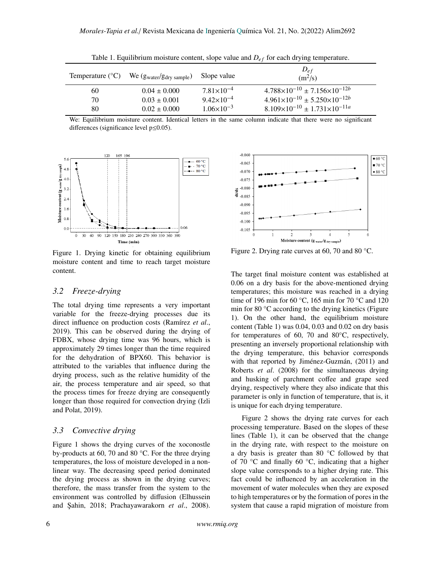| Temperature $({}^{\circ}C)$ | We $(gwater/gdry sample)$ | Slope value           | $D_{ef}$<br>(m <sup>2</sup> /s)                    |
|-----------------------------|---------------------------|-----------------------|----------------------------------------------------|
| 60                          | $0.04 \pm 0.000$          | $7.81\times10^{-4}$   | $4.788 \times 10^{-10} \pm 7.156 \times 10^{-12b}$ |
| 70                          | $0.03 \pm 0.001$          | $9.42 \times 10^{-4}$ | $4.961\times10^{-10} \pm 5.250\times10^{-12b}$     |
| 80                          | $0.02 \pm 0.000$          | $1.06\times10^{-3}$   | $8.109\times10^{-10} \pm 1.731\times10^{-11a}$     |

Table 1. Equilibrium moisture content, slope value and  $D_{ef}$  for each drying temperature.

We: Equilibrium moisture content. Identical letters in the same column indicate that there were no significant differences (significance level p≤0.05).



Figure 1. Drying kinetic for obtaining equilibrium moisture content and time to reach target moisture content.

## *3.2 Freeze-drying*

The total drying time represents a very important variable for the freeze-drying processes due its direct influence on production costs (Ramírez *et al*., 2019). This can be observed during the drying of FDBX, whose drying time was 96 hours, which is approximately 29 times longer than the time required for the dehydration of BPX60. This behavior is attributed to the variables that influence during the drying process, such as the relative humidity of the air, the process temperature and air speed, so that the process times for freeze drying are consequently longer than those required for convection drying (Izli and Polat, 2019).

### *3.3 Convective drying*

Figure 1 shows the drying curves of the xoconostle by-products at 60, 70 and 80 °C. For the three drying temperatures, the loss of moisture developed in a nonlinear way. The decreasing speed period dominated the drying process as shown in the drying curves; therefore, the mass transfer from the system to the environment was controlled by diffusion (Elhussein and Şahin, 2018; Prachayawarakorn et al., 2008).



 $\lim$  Figure 2. Drying rate curves at 60, 70 and 80 °C.

The target final moisture content was established at 0.06 on a dry basis for the above-mentioned drying temperatures; this moisture was reached in a drying time of 196 min for 60 °C, 165 min for 70 °C and 120 min for 80 °C according to the drying kinetics (Figure 1). On the other hand, the equilibrium moisture content (Table 1) was 0.04, 0.03 and 0.02 on dry basis for temperatures of 60, 70 and 80°C, respectively, presenting an inversely proportional relationship with the drying temperature, this behavior corresponds with that reported by Jiménez-Guzmán, (2011) and Roberts *et al*. (2008) for the simultaneous drying and husking of parchment coffee and grape seed drying, respectively where they also indicate that this parameter is only in function of temperature, that is, it is unique for each drying temperature.

*Manus* (*Palet 1)*, *R* van se sessived that the endingeries in the drying rate, with respect to the moisture on Figure 2 shows the drying rate curves for each processing temperature. Based on the slopes of these lines (Table 1), it can be observed that the change a dry basis is greater than 80 °C followed by that of 70 °C and finally 60 °C, indicating that a higher slope value corresponds to a higher drying rate. This fact could be influenced by an acceleration in the movement of water molecules when they are exposed to high temperatures or by the formation of pores in the system that cause a rapid migration of moisture from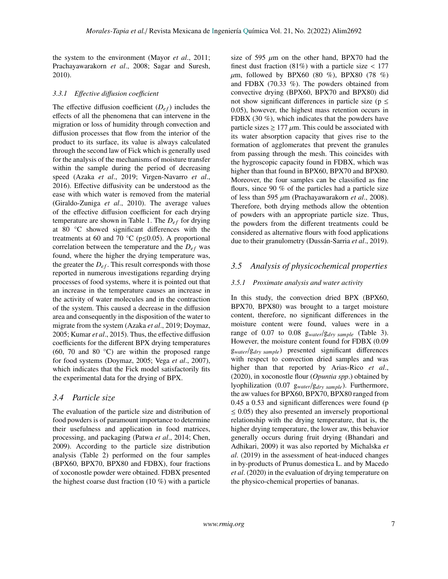the system to the environment (Mayor *et al*., 2011; Prachayawarakorn *et al*., 2008; Sagar and Suresh, 2010).

### *3.3.1 E*ff*ective di*ff*usion coe*ffi*cient*

The effective diffusion coefficient  $(D_{ef})$  includes the effects of all the phenomena that can intervene in the migration or loss of humidity through convection and diffusion processes that flow from the interior of the product to its surface, its value is always calculated through the second law of Fick which is generally used for the analysis of the mechanisms of moisture transfer within the sample during the period of decreasing speed (Azaka *et al*., 2019; Virgen-Navarro *et al*., 2016). Effective diffusivity can be understood as the ease with which water is removed from the material (Giraldo-Zuniga *et al*., 2010). The average values of the effective diffusion coefficient for each drying temperature are shown in Table 1. The  $D_{ef}$  for drying at 80 °C showed significant differences with the treatments at 60 and 70  $\degree$ C (p $\leq$ 0.05). A proportional correlation between the temperature and the  $D_{ef}$  was found, where the higher the drying temperature was, the greater the  $D_{ef}$ . This result corresponds with those reported in numerous investigations regarding drying processes of food systems, where it is pointed out that an increase in the temperature causes an increase in the activity of water molecules and in the contraction of the system. This caused a decrease in the diffusion area and consequently in the disposition of the water to migrate from the system (Azaka *et al*., 2019; Doymaz, 2005; Kumar *et al*., 2015). Thus, the effective diffusion coefficients for the different BPX drying temperatures (60, 70 and 80  $^{\circ}$ C) are within the proposed range for food systems (Doymaz, 2005; Vega *et al*., 2007), which indicates that the Fick model satisfactorily fits the experimental data for the drying of BPX.

### *3.4 Particle size*

The evaluation of the particle size and distribution of food powders is of paramount importance to determine their usefulness and application in food matrices, processing, and packaging (Patwa *et al*., 2014; Chen, 2009). According to the particle size distribution analysis (Table 2) performed on the four samples (BPX60, BPX70, BPX80 and FDBX), four fractions of xoconostle powder were obtained. FDBX presented the highest coarse dust fraction (10 %) with a particle

size of 595  $\mu$ m on the other hand, BPX70 had the finest dust fraction  $(81%)$  with a particle size < 177  $\mu$ m, followed by BPX60 (80 %), BPX80 (78 %) and FDBX (70.33 %). The powders obtained from convective drying (BPX60, BPX70 and BPX80) did not show significant differences in particle size ( $p \leq$ 0.05), however, the highest mass retention occurs in FDBX (30 %), which indicates that the powders have particle sizes  $\geq 177 \mu m$ . This could be associated with its water absorption capacity that gives rise to the formation of agglomerates that prevent the granules from passing through the mesh. This coincides with the hygroscopic capacity found in FDBX, which was higher than that found in BPX60, BPX70 and BPX80. Moreover, the four samples can be classified as fine flours, since 90 % of the particles had a particle size of less than 595 µm (Prachayawarakorn *et al*., 2008). Therefore, both drying methods allow the obtention of powders with an appropriate particle size. Thus, the powders from the different treatments could be considered as alternative flours with food applications due to their granulometry (Dussán-Sarria *et al*., 2019).

### *3.5 Analysis of physicochemical properties*

#### *3.5.1 Proximate analysis and water activity*

In this study, the convection dried BPX (BPX60, BPX70, BPX80) was brought to a target moisture content, therefore, no significant differences in the moisture content were found, values were in a range of 0.07 to 0.08 g*water*/g*dry sample* (Table 3). However, the moisture content found for FDBX (0.09 g*water*/g*dry sample*) presented significant differences with respect to convection dried samples and was higher than that reported by Arias-Rico *et al*., (2020), in xoconostle flour (*Opuntia spp*.) obtained by lyophilization (0.07 g*water*/g*dry sample*). Furthermore, the aw values for BPX60, BPX70, BPX80 ranged from 0.45 a 0.53 and significant differences were found (p  $\leq$  0.05) they also presented an inversely proportional relationship with the drying temperature, that is, the higher drying temperature, the lower aw, this behavior generally occurs during fruit drying (Bhandari and Adhikari, 2009) it was also reported by Michalska *et al*. (2019) in the assessment of heat-induced changes in by-products of Prunus domestica L. and by Macedo *et al*. (2020) in the evaluation of drying temperature on the physico-chemical properties of bananas.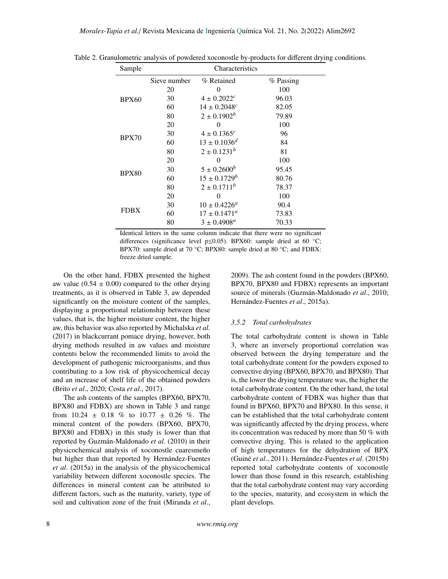| Sample       | Characteristics |                         |           |  |  |
|--------------|-----------------|-------------------------|-----------|--|--|
|              | Sieve number    | % Retained              | % Passing |  |  |
| <b>BPX60</b> | 20              | 0                       | 100       |  |  |
|              | 30              | $4 \pm 0.2022^c$        | 96.03     |  |  |
|              | 60              | $14 \pm 0.2048^c$       | 82.05     |  |  |
|              | 80              | $2 \pm 0.1902^b$        | 79.89     |  |  |
| <b>BPX70</b> | 20              | 0                       | 100       |  |  |
|              | 30              | $4 \pm 0.1365c$         | 96        |  |  |
|              | 60              | $13 \pm 0.1036^d$       | 84        |  |  |
|              | 80              | $2 \pm 0.1231^b$        | 81        |  |  |
| <b>BPX80</b> | 20              | 0                       | 100       |  |  |
|              | 30              | $5 \pm 0.2600^b$        | 95.45     |  |  |
|              | 60              | $15 \pm 0.1729^b$       | 80.76     |  |  |
|              | 80              | $2 \pm 0.1711^b$        | 78.37     |  |  |
| FDBX         | 20              | 0                       | 100       |  |  |
|              | 30              | $10 \pm 0.4226^{\circ}$ | 90.4      |  |  |
|              | 60              | $17 \pm 0.1471^a$       | 73.83     |  |  |
|              | 80              | $3 \pm 0.4908^{\circ}$  | 70.33     |  |  |

Table 2. Granulometric analysis of powdered xoconostle by-products for different drying conditions.

Identical letters in the same column indicate that there were no significant differences (significance level  $p \le 0.05$ ). BPX60: sample dried at 60 °C; BPX70: sample dried at 70 °C; BPX80: sample dried at 80 °C; and FDBX: freeze dried sample.

On the other hand, FDBX presented the highest aw value  $(0.54 \pm 0.00)$  compared to the other drying treatments, as it is observed in Table 3, aw depended significantly on the moisture content of the samples, displaying a proportional relationship between these values, that is, the higher moisture content, the higher aw, this behavior was also reported by Michalska *et al*. (2017) in blackcurrant pomace drying, however, both drying methods resulted in aw values and moisture contents below the recommended limits to avoid the development of pathogenic microorganisms, and thus contributing to a low risk of physicochemical decay and an increase of shelf life of the obtained powders (Brito *et al*., 2020; Costa *et al*., 2017).

The ash contents of the samples (BPX60, BPX70, BPX80 and FDBX) are shown in Table 3 and range from  $10.24 \pm 0.18$  % to  $10.77 \pm 0.26$  %. The mineral content of the powders (BPX60, BPX70, BPX80 and FDBX) in this study is lower than that reported by Guzmán-Maldonado *et al*. (2010) in their physicochemical analysis of xoconostle cuaresmeño but higher than that reported by Hernández-Fuentes *et al*. (2015a) in the analysis of the physicochemical variability between different xoconostle species. The differences in mineral content can be attributed to different factors, such as the maturity, variety, type of soil and cultivation zone of the fruit (Miranda *et al*., 2009). The ash content found in the powders (BPX60, BPX70, BPX80 and FDBX) represents an important source of minerals (Guzmán-Maldonado *et al*., 2010; Hernández-Fuentes *et al*., 2015a).

### *3.5.2 Total carbohydrates*

The total carbohydrate content is shown in Table 3, where an inversely proportional correlation was observed between the drying temperature and the total carbohydrate content for the powders exposed to convective drying (BPX60, BPX70, and BPX80). That is, the lower the drying temperature was, the higher the total carbohydrate content. On the other hand, the total carbohydrate content of FDBX was higher than that found in BPX60, BPX70 and BPX80. In this sense, it can be established that the total carbohydrate content was significantly affected by the drying process, where its concentration was reduced by more than 50 % with convective drying. This is related to the application of high temperatures for the dehydration of BPX (Guiné *et al*., 2011). Hernández-Fuentes *et al*. (2015b) reported total carbohydrate contents of xoconostle lower than those found in this research, establishing that the total carbohydrate content may vary according to the species, maturity, and ecosystem in which the plant develops.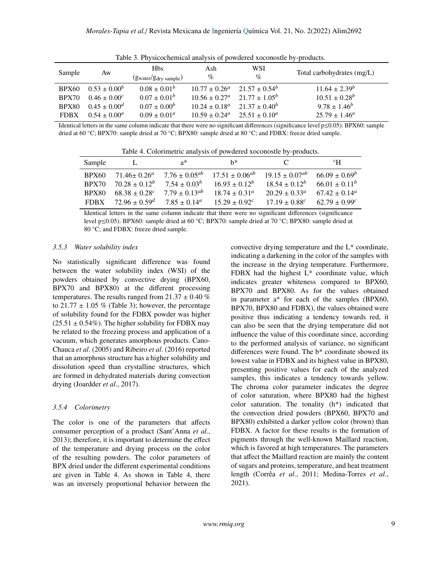| Sample       | Aw                | <b>Hbs</b><br>$(gwater/gdry sample)$ | Ash<br>$\%$              | WSI<br>$\%$      | Total carbohydrates (mg/L) |
|--------------|-------------------|--------------------------------------|--------------------------|------------------|----------------------------|
| <b>BPX60</b> | $0.53 \pm 0.00^b$ | $0.08 \pm 0.01^b$                    | $10.77 \pm 0.26^a$       | $21.57 + 0.54^b$ | $11.64 \pm 2.39^b$         |
| BPX70        | $0.46 \pm 0.00^c$ | $0.07 \pm 0.01^b$                    | $10.56 \pm 0.27^a$       | $21.77 + 1.05^b$ | $10.51 \pm 0.28^b$         |
| <b>BPX80</b> | $0.45 \pm 0.00^d$ | $0.07 \pm 0.00^b$                    | $10.24 \pm 0.18^a$       | $21.37 + 0.40^b$ | $9.78 \pm 1.46^b$          |
| <b>FDBX</b>  | $0.54 \pm 0.00^a$ | $0.09 \pm 0.01^a$                    | $10.59 \pm 0.24^{\circ}$ | $25.51 + 0.10^a$ | $25.79 \pm 1.46^a$         |

Table 3. Physicochemical analysis of powdered xoconostle by-products.

Identical letters in the same column indicate that there were no significant differences (significance level p≤0.05). BPX60: sample dried at 60 °C; BPX70: sample dried at 70 °C; BPX80: sample dried at 80 °C; and FDBX: freeze dried sample.

Table 4. Colorimetric analysis of powdered xoconostle by-products.

| Sample       |                                      | $a^*$                | $h^*$                                                                                 | C                        | $^{\circ}$ H           |
|--------------|--------------------------------------|----------------------|---------------------------------------------------------------------------------------|--------------------------|------------------------|
| <b>BPX60</b> | $71.46 \pm 0.26^a$                   |                      | $7.76 \pm 0.05^{ab}$ $17.51 \pm 0.06^{ab}$ $19.15 \pm 0.07^{ab}$ $66.09 \pm 0.69^{b}$ |                          |                        |
| BPX70        | $70.28 \pm 0.12^b$ $7.54 \pm 0.03^b$ |                      | $16.93 \pm 0.12^b$                                                                    | $18.54 \pm 0.12^b$       | $66.01 + 0.11^b$       |
| <b>BPX80</b> | $68.38 + 0.28^{c}$                   | $7.79 \pm 0.13^{ab}$ | $18.74 + 0.31^{\circ}$                                                                | $20.29 \pm 0.33^{\circ}$ | $67.42 + 0.14^{\circ}$ |
| <b>FDRX</b>  | $72.96 \pm 0.59^d$                   | $7.85 + 0.14^a$      | $15.29 + 0.92^c$                                                                      | $17.19 \pm 0.88^c$       | $62.79 + 0.99^{c}$     |

Identical letters in the same column indicate that there were no significant differences (significance level p≤0.05). BPX60: sample dried at 60 °C; BPX70: sample dried at 70 °C; BPX80: sample dried at 80 °C; and FDBX: freeze dried sample.

### *3.5.3 Water solubility index*

No statistically significant difference was found between the water solubility index (WSI) of the powders obtained by convective drying (BPX60, BPX70 and BPX80) at the different processing temperatures. The results ranged from  $21.37 \pm 0.40$  % to 21.77  $\pm$  1.05 % (Table 3); however, the percentage of solubility found for the FDBX powder was higher  $(25.51 \pm 0.54\%)$ . The higher solubility for FDBX may be related to the freezing process and application of a vacuum, which generates amorphous products. Cano-Chauca *et al*. (2005) and Ribeiro *et al*. (2016) reported that an amorphous structure has a higher solubility and dissolution speed than crystalline structures, which are formed in dehydrated materials during convection drying (Joardder *et al*., 2017).

## *3.5.4 Colorimetry*

The color is one of the parameters that affects consumer perception of a product (Sant'Anna *et al*., 2013); therefore, it is important to determine the effect of the temperature and drying process on the color of the resulting powders. The color parameters of BPX dried under the different experimental conditions are given in Table 4. As shown in Table 4, there was an inversely proportional behavior between the convective drying temperature and the L\* coordinate, indicating a darkening in the color of the samples with the increase in the drying temperature. Furthermore, FDBX had the highest L\* coordinate value, which indicates greater whiteness compared to BPX60, BPX70 and BPX80. As for the values obtained in parameter a\* for each of the samples (BPX60, BPX70, BPX80 and FDBX), the values obtained were positive thus indicating a tendency towards red, it can also be seen that the drying temperature did not influence the value of this coordinate since, according to the performed analysis of variance, no significant differences were found. The b\* coordinate showed its lowest value in FDBX and its highest value in BPX80, presenting positive values for each of the analyzed samples, this indicates a tendency towards yellow. The chroma color parameter indicates the degree of color saturation, where BPX80 had the highest color saturation. The tonality (h\*) indicated that the convection dried powders (BPX60, BPX70 and BPX80) exhibited a darker yellow color (brown) than FDBX. A factor for these results is the formation of pigments through the well-known Maillard reaction, which is favored at high temperatures. The parameters that affect the Maillard reaction are mainly the content of sugars and proteins, temperature, and heat treatment length (Corrêa *et al*., 2011; Medina-Torres *et al*., 2021).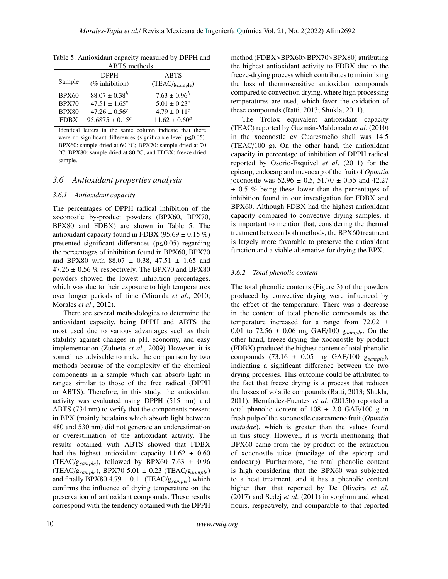| ABTS methods. |                               |                              |  |
|---------------|-------------------------------|------------------------------|--|
|               | <b>DPPH</b>                   | <b>ABTS</b>                  |  |
| Sample        | $(\%$ inhibition)             | (TEAC/g <sub>sample</sub> )  |  |
| <b>BPX60</b>  | $88.07 \pm 0.38^b$            | $7.63 \pm 0.96^b$            |  |
| BPX70         | $47.51 \pm 1.65^{c}$          | $5.01 \pm 0.23^c$            |  |
| <b>BPX80</b>  | $47.26 \pm 0.56$ <sup>c</sup> | $4.79 \pm 0.11$ <sup>c</sup> |  |
| <b>FDBX</b>   | $95.6875 \pm 0.15^a$          | $11.62 \pm 0.60^a$           |  |

Table 5. Antioxidant capacity measured by DPPH and

Identical letters in the same column indicate that there were no significant differences (significance level p≤0.05). BPX60: sample dried at 60 °C; BPX70: sample dried at 70 °C; BPX80: sample dried at 80 °C; and FDBX: freeze dried sample.

### *3.6 Antioxidant properties analysis*

### *3.6.1 Antioxidant capacity*

The percentages of DPPH radical inhibition of the xoconostle by-product powders (BPX60, BPX70, BPX80 and FDBX) are shown in Table 5. The antioxidant capacity found in FDBX (95.69  $\pm$  0.15 %) presented significant differences (p≤0.05) regarding the percentages of inhibition found in BPX60, BPX70 and BPX80 with  $88.07 \pm 0.38$ ,  $47.51 \pm 1.65$  and  $47.26 \pm 0.56$  % respectively. The BPX70 and BPX80 powders showed the lowest inhibition percentages, which was due to their exposure to high temperatures over longer periods of time (Miranda *et al*., 2010; Morales *et al*., 2012).

There are several methodologies to determine the antioxidant capacity, being DPPH and ABTS the most used due to various advantages such as their stability against changes in pH, economy, and easy implementation (Zulueta *et al*., 2009) However, it is sometimes advisable to make the comparison by two methods because of the complexity of the chemical components in a sample which can absorb light in ranges similar to those of the free radical (DPPH or ABTS). Therefore, in this study, the antioxidant activity was evaluated using DPPH (515 nm) and ABTS (734 nm) to verify that the components present in BPX (mainly betalains which absorb light between 480 and 530 nm) did not generate an underestimation or overestimation of the antioxidant activity. The results obtained with ABTS showed that FDBX had the highest antioxidant capacity  $11.62 \pm 0.60$ (TEAC/ $g_{sample}$ ), followed by BPX60 7.63  $\pm$  0.96 (TEAC/g*sample*), BPX70 5.01 ± 0.23 (TEAC/g*sample*) and finally BPX80 4.79  $\pm$  0.11 (TEAC/g<sub>sample</sub>) which confirms the influence of drying temperature on the preservation of antioxidant compounds. These results correspond with the tendency obtained with the DPPH method (FDBX>BPX60>BPX70>BPX80) attributing the highest antioxidant activity to FDBX due to the freeze-drying process which contributes to minimizing the loss of thermosensitive antioxidant compounds compared to convection drying, where high processing temperatures are used, which favor the oxidation of these compounds (Ratti, 2013; Shukla, 2011).

The Trolox equivalent antioxidant capacity (TEAC) reported by Guzmán-Maldonado *et al*. (2010) in the xoconostle cv Cuaresmeño shell was 14.5 (TEAC/100 g). On the other hand, the antioxidant capacity in percentage of inhibition of DPPH radical reported by Osorio-Esquivel *et al*. (2011) for the epicarp, endocarp and mesocarp of the fruit of *Opuntia* joconostle was  $62.96 \pm 0.5$ ,  $51.70 \pm 0.55$  and  $42.27$  $\pm$  0.5 % being these lower than the percentages of inhibition found in our investigation for FDBX and BPX60. Although FDBX had the highest antioxidant capacity compared to convective drying samples, it is important to mention that, considering the thermal treatment between both methods, the BPX60 treatment is largely more favorable to preserve the antioxidant function and a viable alternative for drying the BPX.

### *3.6.2 Total phenolic content*

The total phenolic contents (Figure 3) of the powders produced by convective drying were influenced by the effect of the temperature. There was a decrease in the content of total phenolic compounds as the temperature increased for a range from  $72.02 \pm$ 0.01 to 72.56 ± 0.06 mg GAE/100 g*sample*. On the other hand, freeze-drying the xoconostle by-product (FDBX) produced the highest content of total phenolic compounds (73.16 ± 0.05 mg GAE/100 g*sample*), indicating a significant difference between the two drying processes. This outcome could be attributed to the fact that freeze drying is a process that reduces the losses of volatile compounds (Ratti, 2013; Shukla, 2011). Hernández-Fuentes *et al*. (2015b) reported a total phenolic content of  $108 \pm 2.0$  GAE/100 g in fresh pulp of the xoconostle cuaresmeño fruit (*Opuntia matudae*), which is greater than the values found in this study. However, it is worth mentioning that BPX60 came from the by-product of the extraction of xoconostle juice (mucilage of the epicarp and endocarp). Furthermore, the total phenolic content is high considering that the BPX60 was subjected to a heat treatment, and it has a phenolic content higher than that reported by De Oliveira *et al*. (2017) and Sedej *et al*. (2011) in sorghum and wheat flours, respectively, and comparable to that reported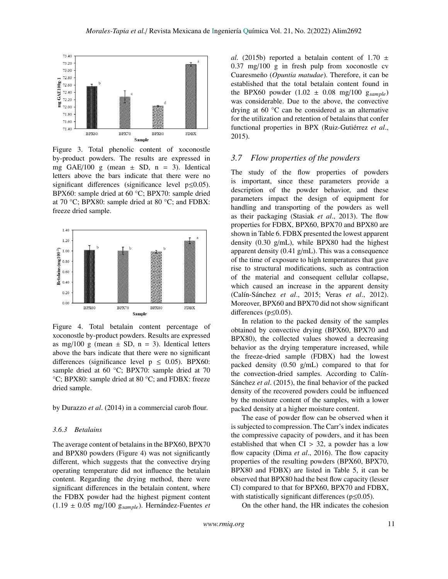

 $\frac{1}{2}$   $\frac{1}{2}$   $\frac{1}{2}$   $\frac{1}{2}$   $\frac{1}{2}$   $\frac{1}{2}$   $\frac{1}{2}$   $\frac{1}{2}$   $\frac{1}{2}$   $\frac{1}{2}$   $\frac{1}{2}$   $\frac{1}{2}$   $\frac{1}{2}$   $\frac{1}{2}$   $\frac{1}{2}$   $\frac{1}{2}$   $\frac{1}{2}$   $\frac{1}{2}$   $\frac{1}{2}$   $\frac{1}{2}$   $\frac{1}{2}$   $\frac{1}{2}$  by-product powders. The results are expressed in mg GAE/100 g (mean  $\pm$  SD, n = 3). Identical letters above the bars indicate that there were no Figure 3. Total phenolic content of xoconostle significant differences (significance level p≤0.05). BPX60: sample dried at 60 °C; BPX70: sample dried at 70 °C; BPX80: sample dried at 80 °C; and FDBX: freeze dried sample.



Figure 4. Total betalain content percentage of xoconostle by-product powders. Results are expressed as mg/100 g (mean  $\pm$  SD, n = 3). Identical letters above the bars indicate that there were no significant differences (significance level  $p \le 0.05$ ). BPX60: sample dried at 60 °C; BPX70: sample dried at 70 °C; BPX80: sample dried at 80 °C; and FDBX: freeze dried sample.

by Durazzo *et al*. (2014) in a commercial carob flour.

#### *3.6.3 Betalains*

The average content of betalains in the BPX60, BPX70 and BPX80 powders (Figure 4) was not significantly different, which suggests that the convective drying operating temperature did not influence the betalain content. Regarding the drying method, there were significant differences in the betalain content, where the FDBX powder had the highest pigment content (1.19 ± 0.05 mg/100 g*sample*). Hernández-Fuentes *et* *al.* (2015b) reported a betalain content of 1.70  $\pm$ 0.37 mg/100 g in fresh pulp from xoconostle cv Cuaresmeño (*Opuntia matudae*). Therefore, it can be established that the total betalain content found in the BPX60 powder (1.02 ± 0.08 mg/100 g*sample*) was considerable. Due to the above, the convective drying at 60 °C can be considered as an alternative for the utilization and retention of betalains that confer functional properties in BPX (Ruiz-Gutiérrez *et al*., 2015).

### *3.7 Flow properties of the powders*

The study of the flow properties of powders is important, since these parameters provide a description of the powder behavior, and these parameters impact the design of equipment for handling and transporting of the powders as well as their packaging (Stasiak *et al*., 2013). The flow properties for FDBX, BPX60, BPX70 and BPX80 are shown in Table 6. FDBX presented the lowest apparent density (0.30 g/mL), while BPX80 had the highest apparent density (0.41 g/mL). This was a consequence of the time of exposure to high temperatures that gave rise to structural modifications, such as contraction of the material and consequent cellular collapse, which caused an increase in the apparent density (Calín-Sánchez *et al*., 2015; Veras *et al*., 2012). Moreover, BPX60 and BPX70 did not show significant differences (p≤0.05).

In relation to the packed density of the samples obtained by convective drying (BPX60, BPX70 and BPX80), the collected values showed a decreasing behavior as the drying temperature increased, while the freeze-dried sample (FDBX) had the lowest packed density (0.50 g/mL) compared to that for the convection-dried samples. According to Calín-Sánchez *et al*. (2015), the final behavior of the packed density of the recovered powders could be influenced by the moisture content of the samples, with a lower packed density at a higher moisture content.

The ease of powder flow can be observed when it is subjected to compression. The Carr's index indicates the compressive capacity of powders, and it has been established that when  $CI > 32$ , a powder has a low flow capacity (Dima *et al*., 2016). The flow capacity properties of the resulting powders (BPX60, BPX70, BPX80 and FDBX) are listed in Table 5, it can be observed that BPX80 had the best flow capacity (lesser CI) compared to that for BPX60, BPX70 and FDBX, with statistically significant differences ( $p \le 0.05$ ).

On the other hand, the HR indicates the cohesion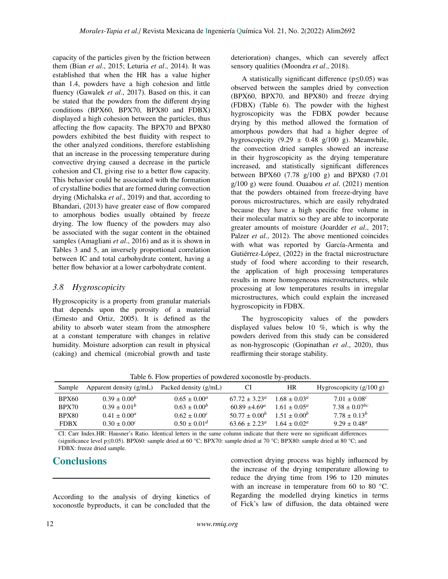capacity of the particles given by the friction between them (Bian *et al*., 2015; Leturia *et al*., 2014). It was established that when the HR has a value higher than 1.4, powders have a high cohesion and little fluency (Gawalek *et al*., 2017). Based on this, it can be stated that the powders from the different drying conditions (BPX60, BPX70, BPX80 and FDBX) displayed a high cohesion between the particles, thus affecting the flow capacity. The BPX70 and BPX80 powders exhibited the best fluidity with respect to the other analyzed conditions, therefore establishing that an increase in the processing temperature during convective drying caused a decrease in the particle cohesion and CI, giving rise to a better flow capacity. This behavior could be associated with the formation of crystalline bodies that are formed during convection drying (Michalska *et al*., 2019) and that, according to Bhandari, (2013) have greater ease of flow compared to amorphous bodies usually obtained by freeze drying. The low fluency of the powders may also be associated with the sugar content in the obtained samples (Amagliani *et al*., 2016) and as it is shown in Tables 3 and 5, an inversely proportional correlation between IC and total carbohydrate content, having a better flow behavior at a lower carbohydrate content.

# *3.8 Hygroscopicity*

Hygroscopicity is a property from granular materials that depends upon the porosity of a material (Ernesto and Ortiz, 2005). It is defined as the ability to absorb water steam from the atmosphere at a constant temperature with changes in relative humidity. Moisture adsorption can result in physical (caking) and chemical (microbial growth and taste deterioration) changes, which can severely affect sensory qualities (Moondra *et al*., 2018).

A statistically significant difference  $(p \le 0.05)$  was observed between the samples dried by convection (BPX60, BPX70, and BPX80) and freeze drying (FDBX) (Table 6). The powder with the highest hygroscopicity was the FDBX powder because drying by this method allowed the formation of amorphous powders that had a higher degree of hygroscopicity  $(9.29 \pm 0.48 \text{ g}/100 \text{ g})$ . Meanwhile, the convection dried samples showed an increase in their hygroscopicity as the drying temperature increased, and statistically significant differences between BPX60 (7.78 g/100 g) and BPX80 (7.01 g/100 g) were found. Ouaabou *et al*. (2021) mention that the powders obtained from freeze-drying have porous microstructures, which are easily rehydrated because they have a high specific free volume in their molecular matrix so they are able to incorporate greater amounts of moisture (Joardder *et al*., 2017; Palzer *et al*., 2012). The above mentioned coincides with what was reported by García-Armenta and Gutiérrez-López, (2022) in the fractal microstructure study of food where according to their research, the application of high processing temperatures results in more homogeneous microstructures, while processing at low temperatures results in irregular microstructures, which could explain the increased hygroscopicity in FDBX.

The hygroscopicity values of the powders displayed values below 10 %, which is why the powders derived from this study can be considered as non-hygroscopic (Gopinathan *et al*., 2020), thus reaffirming their storage stability.

Table 6. Flow properties of powdered xoconostle by-products.

| Apparent density $(g/mL)$ | Packed density (g/mL) | CI                       | HR                      | Hygroscopicity $(g/100 g)$         |
|---------------------------|-----------------------|--------------------------|-------------------------|------------------------------------|
| $0.39 \pm 0.00^b$         | $0.65 \pm 0.00^a$     | $67.72 \pm 3.23^{\circ}$ | $1.68 \pm 0.03^{\circ}$ | $7.01 \pm 0.08$ <sup>c</sup>       |
| $0.39 \pm 0.01^b$         | $0.63 \pm 0.00^b$     | $60.89 \pm 4.69^a$       |                         | $7.38 \pm 0.07^{bc}$               |
| $0.41 \pm 0.00^a$         | $0.62 \pm 0.00^c$     | $50.77 \pm 0.00^b$       |                         | $7.78 \pm 0.13^b$                  |
| $0.30 \pm 0.00^c$         | $0.50 \pm 0.01^d$     | $63.66 + 2.23^{\circ}$   | $1.64 + 0.02^a$         | $9.29 \pm 0.48^a$                  |
|                           |                       |                          |                         | $1.61 + 0.05^a$<br>$1.51 + 0.00^b$ |

CI: Carr Index.HR: Hausner's Ratio. Identical letters in the same column indicate that there were no significant differences (significance level p≤0.05). BPX60: sample dried at 60 °C; BPX70: sample dried at 70 °C; BPX80: sample dried at 80 °C; and FDBX: freeze dried sample.

# **Conclusions**

According to the analysis of drying kinetics of xoconostle byproducts, it can be concluded that the

convection drying process was highly influenced by the increase of the drying temperature allowing to reduce the drying time from 196 to 120 minutes with an increase in temperature from 60 to 80 °C. Regarding the modelled drying kinetics in terms of Fick's law of diffusion, the data obtained were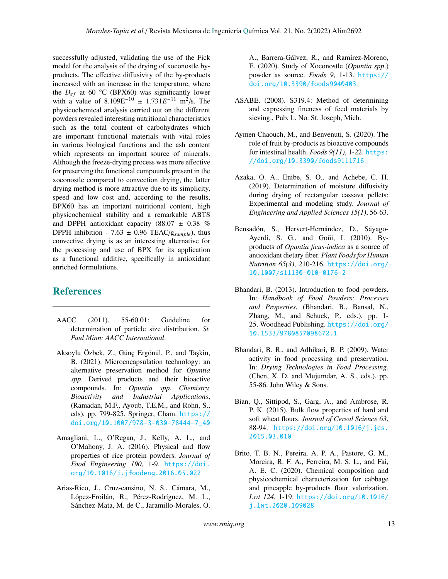successfully adjusted, validating the use of the Fick model for the analysis of the drying of xoconostle byproducts. The effective diffusivity of the by-products increased with an increase in the temperature, where the  $D_{ef}$  at 60 °C (BPX60) was significantly lower with a value of  $8.109E^{-10} \pm 1.731E^{-11}$  m<sup>2</sup>/s. The physicochemical analysis carried out on the different powders revealed interesting nutritional characteristics such as the total content of carbohydrates which are important functional materials with vital roles in various biological functions and the ash content which represents an important source of minerals. Although the freeze-drying process was more effective for preserving the functional compounds present in the xoconostle compared to convection drying, the latter drying method is more attractive due to its simplicity, speed and low cost and, according to the results, BPX60 has an important nutritional content, high physicochemical stability and a remarkable ABTS and DPPH antioxidant capacity (88.07  $\pm$  0.38 %) DPPH inhibition - 7.63 ± 0.96 TEAC/g*sample*), thus convective drying is as an interesting alternative for the processing and use of BPX for its application as a functional additive, specifically in antioxidant enriched formulations.

# References

- AACC (2011). 55-60.01: Guideline for determination of particle size distribution. *St. Paul Minn: AACC International*.
- Aksoylu Özbek, Z., Günç Ergönül, P., and Taşkin, B. (2021). Microencapsulation technology: an alternative preservation method for *Opuntia spp*. Derived products and their bioactive compounds. In: *Opuntia spp*. *Chemistry, Bioactivity and Industrial Applications*, (Ramadan, M.F., Ayoub, T.E.M., and Rohn, S., eds), pp. 799-825. Springer, Cham. [https://](https://doi.org/10.1007/978-3-030-78444-7_40) [doi.org/10.1007/978-3-030-78444-7\\_40](https://doi.org/10.1007/978-3-030-78444-7_40)
- Amagliani, L., O'Regan, J., Kelly, A. L., and O'Mahony, J. A. (2016). Physical and flow properties of rice protein powders. *Journal of Food Engineering 190*, 1-9. [https://doi.](https://doi.org/10.1016/j.jfoodeng.2016.05.022) [org/10.1016/j.jfoodeng.2016.05.022](https://doi.org/10.1016/j.jfoodeng.2016.05.022)
- Arias-Rico, J., Cruz-cansino, N. S., Cámara, M., López-Froilán, R., Pérez-Rodríguez, M. L., Sánchez-Mata, M. de C., Jaramillo-Morales, O.

A., Barrera-Gálvez, R., and Ramírez-Moreno, E. (2020). Study of Xoconostle (*Opuntia spp*.) powder as source. *Foods 9*, 1-13. [https://](https://doi.org/10.3390/foods9040403) [doi.org/10.3390/foods9040403](https://doi.org/10.3390/foods9040403)

- ASABE. (2008). S319.4: Method of determining and expressing fineness of feed materials by sieving., Pub. L. No. St. Joseph, Mich.
- Aymen Chaouch, M., and Benvenuti, S. (2020). The role of fruit by-products as bioactive compounds for intestinal health. *Foods 9(11)*, 1-22. [https:](https://doi.org/10.3390/foods9111716) [//doi.org/10.3390/foods9111716](https://doi.org/10.3390/foods9111716)
- Azaka, O. A., Enibe, S. O., and Achebe, C. H. (2019). Determination of moisture diffusivity during drying of rectangular cassava pellets: Experimental and modeling study. *Journal of Engineering and Applied Sciences 15(1)*, 56-63.
- Bensadón, S., Hervert-Hernández, D., Sáyago-Ayerdi, S. G., and Goñi, I. (2010). Byproducts of *Opuntia ficus-indica* as a source of antioxidant dietary fiber. *Plant Foods for Human Nutrition 65(3)*, 210-216. [https://doi.org/](https://doi.org/10.1007/s11130-010-0176-2) [10.1007/s11130-010-0176-2](https://doi.org/10.1007/s11130-010-0176-2)
- Bhandari, B. (2013). Introduction to food powders. In: *Handbook of Food Powders: Processes and Properties*, (Bhandari, B., Bansal, N., Zhang, M., and Schuck, P., eds.), pp. 1- 25. Woodhead Publishing. [https://doi.org/](https://doi.org/10.1533/9780857098672.1) [10.1533/9780857098672.1](https://doi.org/10.1533/9780857098672.1)
- Bhandari, B. R., and Adhikari, B. P. (2009). Water activity in food processing and preservation. In: *Drying Technologies in Food Processing*, (Chen, X. D. and Mujumdar, A. S., eds.), pp. 55-86. John Wiley & Sons.
- Bian, Q., Sittipod, S., Garg, A., and Ambrose, R. P. K. (2015). Bulk flow properties of hard and soft wheat flours. *Journal of Cereal Science 63*, 88-94. [https://doi.org/10.1016/j.jcs.](https://doi.org/10.1016/j.jcs.2015.03.010) [2015.03.010](https://doi.org/10.1016/j.jcs.2015.03.010)
- Brito, T. B. N., Pereira, A. P. A., Pastore, G. M., Moreira, R. F. A., Ferreira, M. S. L., and Fai, A. E. C. (2020). Chemical composition and physicochemical characterization for cabbage and pineapple by-products flour valorization. *Lwt 124*, 1-19. [https://doi.org/10.1016/](https://doi.org/10.1016/j.lwt.2020.109028) [j.lwt.2020.109028](https://doi.org/10.1016/j.lwt.2020.109028)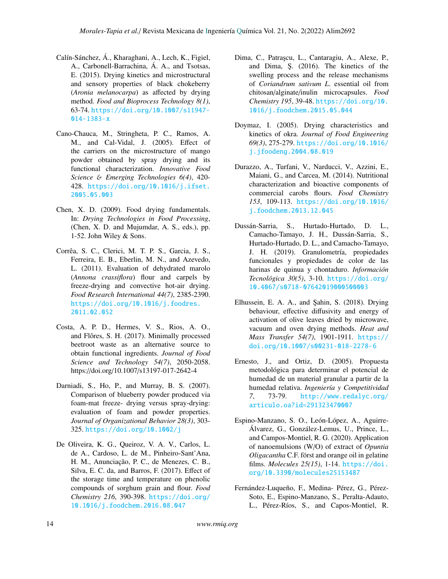- Calín-Sánchez, Á., Kharaghani, A., Lech, K., Figiel, A., Carbonell-Barrachina, Á. A., and Tsotsas, E. (2015). Drying kinetics and microstructural and sensory properties of black chokeberry (*Aronia melanocarpa*) as affected by drying method. *Food and Bioprocess Technology 8(1)*, 63-74. [https://doi.org/10.1007/s11947-](https://doi.org/10.1007/s11947-014-1383-x) [014-1383-x](https://doi.org/10.1007/s11947-014-1383-x)
- Cano-Chauca, M., Stringheta, P. C., Ramos, A. M., and Cal-Vidal, J. (2005). Effect of the carriers on the microstructure of mango powder obtained by spray drying and its functional characterization. *Innovative Food Science* & *Emerging Technologies 6(4)*, 420- 428. [https://doi.org/10.1016/j.ifset.](https://doi.org/10.1016/j.ifset.2005.05.003) [2005.05.003](https://doi.org/10.1016/j.ifset.2005.05.003)
- Chen, X. D. (2009). Food drying fundamentals. In: *Drying Technologies in Food Processing*, (Chen, X. D. and Mujumdar, A. S., eds.), pp. 1-52. John Wiley & Sons.
- Corrêa, S. C., Clerici, M. T. P. S., Garcia, J. S., Ferreira, E. B., Eberlin, M. N., and Azevedo, L. (2011). Evaluation of dehydrated marolo (*Annona crassiflora*) flour and carpels by freeze-drying and convective hot-air drying. *Food Research International 44(7)*, 2385-2390. [https://doi.org/10.1016/j.foodres.](https://doi.org/10.1016/j.foodres.2011.02.052) [2011.02.052](https://doi.org/10.1016/j.foodres.2011.02.052)
- Costa, A. P. D., Hermes, V. S., Rios, A. O., and Flôres, S. H. (2017). Minimally processed beetroot waste as an alternative source to obtain functional ingredients. *Journal of Food Science and Technology 54(7)*, 2050-2058. https://doi.org/10.1007/s13197-017-2642-4
- Darniadi, S., Ho, P., and Murray, B. S. (2007). Comparison of blueberry powder produced via foam-mat freeze- drying versus spray-drying: evaluation of foam and powder properties. *Journal of Organizational Behavior 28(3)*, 303- 325. <https://doi.org/10.1002/j>
- De Oliveira, K. G., Queiroz, V. A. V., Carlos, L. de A., Cardoso, L. de M., Pinheiro-Sant'Ana, H. M., Anunciação, P. C., de Menezes, C. B., Silva, E. C. da, and Barros, F. (2017). Effect of the storage time and temperature on phenolic compounds of sorghum grain and flour. *Food Chemistry 216*, 390-398. [https://doi.org/](https://doi.org/10.1016/j.foodchem.2016.08.047) [10.1016/j.foodchem.2016.08.047](https://doi.org/10.1016/j.foodchem.2016.08.047)
- Dima, C., Patra¸scu, L., Cantaragiu, A., Alexe, P., and Dima, Ş. (2016). The kinetics of the swelling process and the release mechanisms of *Coriandrum sativum L*. essential oil from chitosan/alginate/inulin microcapsules. *Food Chemistry 195*, 39-48. [https://doi.org/10.](https://doi.org/10.1016/j.foodchem.2015.05.044) [1016/j.foodchem.2015.05.044](https://doi.org/10.1016/j.foodchem.2015.05.044)
- Doymaz, I. (2005). Drying characteristics and kinetics of okra. *Journal of Food Engineering 69(3)*, 275-279. [https://doi.org/10.1016/](https://doi.org/10.1016/j.jfoodeng.2004.08.019) [j.jfoodeng.2004.08.019](https://doi.org/10.1016/j.jfoodeng.2004.08.019)
- Durazzo, A., Turfani, V., Narducci, V., Azzini, E., Maiani, G., and Carcea, M. (2014). Nutritional characterization and bioactive components of commercial carobs flours. *Food Chemistry 153*, 109-113. [https://doi.org/10.1016/](https://doi.org/10.1016/j.foodchem.2013.12.045) [j.foodchem.2013.12.045](https://doi.org/10.1016/j.foodchem.2013.12.045)
- Dussán-Sarria, S., Hurtado-Hurtado, D. L., Camacho-Tamayo, J. H., Dussán-Sarria, S., Hurtado-Hurtado, D. L., and Camacho-Tamayo, J. H. (2019). Granulometría, propiedades funcionales y propiedades de color de las harinas de quinua y chontaduro. *Información Tecnológica 30(5)*, 3-10. [https://doi.org/](https://doi.org/10.4067/s0718-07642019000500003) [10.4067/s0718-07642019000500003](https://doi.org/10.4067/s0718-07642019000500003)
- Elhussein, E. A. A., and Şahin, S. (2018). Drying behaviour, effective diffusivity and energy of activation of olive leaves dried by microwave, vacuum and oven drying methods. *Heat and Mass Transfer 54(7)*, 1901-1911. [https://](https://doi.org/10.1007/s00231-018-2278-6) [doi.org/10.1007/s00231-018-2278-6](https://doi.org/10.1007/s00231-018-2278-6)
- Ernesto, J., and Ortiz, D. (2005). Propuesta metodológica para determinar el potencial de humedad de un material granular a partir de la humedad relativa. *Ingeniería y Competitividad 7*, 73-79. [http://www.redalyc.org/](http://www.redalyc.org/articulo.oa?id=291323470007) [articulo.oa?id=291323470007](http://www.redalyc.org/articulo.oa?id=291323470007)
- Espino-Manzano, S. O., León-López, A., Aguirre-Álvarez, G., González-Lemus, U., Prince, L., and Campos-Montiel, R. G. (2020). Application of nanoemulsions (W/O) of extract of *Opuntia Oligacantha* C.F. först and orange oil in gelatine films. *Molecules 25(15)*, 1-14. [https://doi.](https://doi.org/10.3390/molecules25153487) [org/10.3390/molecules25153487](https://doi.org/10.3390/molecules25153487)
- Fernández-Luqueño, F., Medina- Pérez, G., Pérez-Soto, E., Espino-Manzano, S., Peralta-Adauto, L., Pérez-Ríos, S., and Capos-Montiel, R.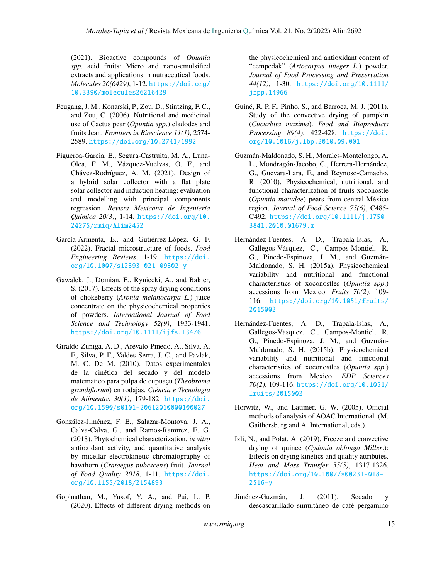(2021). Bioactive compounds of *Opuntia spp*. acid fruits: Micro and nano-emulsified extracts and applications in nutraceutical foods. *Molecules 26(6429)*, 1-12. [https://doi.org/](https://doi.org/10.3390/molecules26216429) [10.3390/molecules26216429](https://doi.org/10.3390/molecules26216429)

- Feugang, J. M., Konarski, P., Zou, D., Stintzing, F. C., and Zou, C. (2006). Nutritional and medicinal use of Cactus pear (*Opuntia spp*.) cladodes and fruits Jean. *Frontiers in Bioscience 11(1)*, 2574- 2589. <https://doi.org/10.2741/1992>
- Figueroa-Garcia, E., Segura-Castruita, M. A., Luna-Olea, F. M., Vázquez-Vuelvas, O. F., and Chávez-Rodríguez, A. M. (2021). Design of a hybrid solar collector with a flat plate solar collector and induction heating: evaluation and modelling with principal components regression. *Revista Mexicana de Ingeniería Química 20(3)*, 1-14. [https://doi.org/10.](https://doi.org/10.24275/rmiq/Alim2452) [24275/rmiq/Alim2452](https://doi.org/10.24275/rmiq/Alim2452)
- García-Armenta, E., and Gutiérrez-López, G. F. (2022). Fractal microstructure of foods. *Food Engineering Reviews*, 1-19. [https://doi.](https://doi.org/10.1007/s12393-021-09302-y) [org/10.1007/s12393-021-09302-y](https://doi.org/10.1007/s12393-021-09302-y)
- Gawalek, J., Domian, E., Ryniecki, A., and Bakier, S. (2017). Effects of the spray drying conditions of chokeberry (*Aronia melanocarpa L.*) juice concentrate on the physicochemical properties of powders. *International Journal of Food Science and Technology 52(9)*, 1933-1941. <https://doi.org/10.1111/ijfs.13476>
- Giraldo-Zuniga, A. D., Arévalo-Pinedo, A., Silva, A. F., Silva, P. F., Valdes-Serra, J. C., and Pavlak, M. C. De M. (2010). Datos experimentales de la cinética del secado y del modelo matemático para pulpa de cupuaçu (*Theobroma grandiflorum*) en rodajas. *Ciência e Tecnologia de Alimentos 30(1)*, 179-182. [https://doi.](https://doi.org/10.1590/s0101-20612010000100027) [org/10.1590/s0101-20612010000100027](https://doi.org/10.1590/s0101-20612010000100027)
- González-Jiménez, F. E., Salazar-Montoya, J. A., Calva-Calva, G., and Ramos-Ramírez, E. G. (2018). Phytochemical characterization, *in vitro* antioxidant activity, and quantitative analysis by micellar electrokinetic chromatography of hawthorn (*Crataegus pubescens*) fruit. *Journal of Food Quality 2018*, 1-11. [https://doi.](https://doi.org/10.1155/2018/2154893) [org/10.1155/2018/2154893](https://doi.org/10.1155/2018/2154893)
- Gopinathan, M., Yusof, Y. A., and Pui, L. P. (2020). Effects of different drying methods on

the physicochemical and antioxidant content of "cempedak" (*Artocarpus integer L.*) powder. *Journal of Food Processing and Preservation 44(12)*, 1-30. [https://doi.org/10.1111/](https://doi.org/10.1111/jfpp.14966) [jfpp.14966](https://doi.org/10.1111/jfpp.14966)

- Guiné, R. P. F., Pinho, S., and Barroca, M. J. (2011). Study of the convective drying of pumpkin (*Cucurbita maxima*). *Food and Bioproducts Processing 89(4)*, 422-428. [https://doi.](https://doi.org/10.1016/j.fbp.2010.09.001) [org/10.1016/j.fbp.2010.09.001](https://doi.org/10.1016/j.fbp.2010.09.001)
- Guzmán-Maldonado, S. H., Morales-Montelongo, A. L., Mondragón-Jacobo, C., Herrera-Hernández, G., Guevara-Lara, F., and Reynoso-Camacho, R. (2010). Physicochemical, nutritional, and functional characterization of fruits xoconostle (*Opuntia matudae*) pears from central-México region. *Journal of Food Science 75(6)*, C485- C492. [https://doi.org/10.1111/j.1750-](https://doi.org/10.1111/j.1750-3841.2010.01679.x) [3841.2010.01679.x](https://doi.org/10.1111/j.1750-3841.2010.01679.x)
- Hernández-Fuentes, A. D., Trapala-Islas, A., Gallegos-Vásquez, C., Campos-Montiel, R. G., Pinedo-Espinoza, J. M., and Guzmán-Maldonado, S. H. (2015a). Physicochemical variability and nutritional and functional characteristics of xoconostles (*Opuntia spp*.) accessions from Mexico. *Fruits 70(2)*, 109- 116. [https://doi.org/10.1051/fruits/](https://doi.org/10.1051/fruits/2015002) [2015002](https://doi.org/10.1051/fruits/2015002)
- Hernández-Fuentes, A. D., Trapala-Islas, A., Gallegos-Vásquez, C., Campos-Montiel, R. G., Pinedo-Espinoza, J. M., and Guzmán-Maldonado, S. H. (2015b). Physicochemical variability and nutritional and functional characteristics of xoconostles (*Opuntia spp*.) accessions from Mexico. *EDP Sciences 70(2)*, 109-116. [https://doi.org/10.1051/](https://doi.org/10.1051/fruits/2015002) [fruits/2015002](https://doi.org/10.1051/fruits/2015002)
- Horwitz, W., and Latimer, G. W. (2005). Official methods of analysis of AOAC International. (M. Gaithersburg and A. International, eds.).
- Izli, N., and Polat, A. (2019). Freeze and convective drying of quince (*Cydonia oblonga Miller*.): Effects on drying kinetics and quality attributes. *Heat and Mass Transfer 55(5)*, 1317-1326. [https://doi.org/10.1007/s00231-018-](https://doi.org/10.1007/s00231-018-2516-y) [2516-y](https://doi.org/10.1007/s00231-018-2516-y)
- Jiménez-Guzmán, J. (2011). Secado y descascarillado simultáneo de café pergamino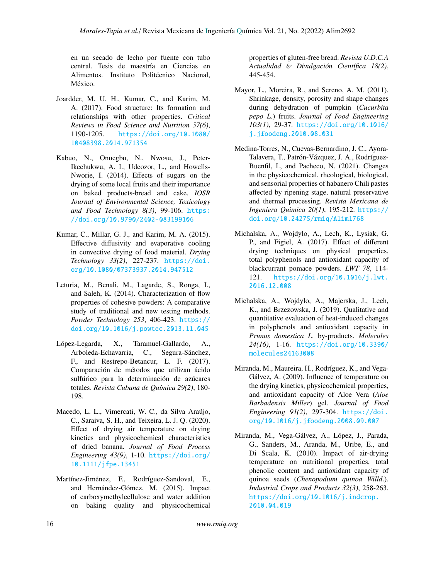en un secado de lecho por fuente con tubo central. Tesis de maestría en Ciencias en Alimentos. Instituto Politécnico Nacional, México.

- Joardder, M. U. H., Kumar, C., and Karim, M. A. (2017). Food structure: Its formation and relationships with other properties. *Critical Reviews in Food Science and Nutrition 57(6)*, 1190-1205. [https://doi.org/10.1080/](https://doi.org/10.1080/10408398.2014.971354) [10408398.2014.971354](https://doi.org/10.1080/10408398.2014.971354)
- Kabuo, N., Onuegbu, N., Nwosu, J., Peter-Ikechukwu, A. I., Udeozor, L., and Howells-Nworie, I. (2014). Effects of sugars on the drying of some local fruits and their importance on baked products-bread and cake. *IOSR Journal of Environmental Science, Toxicology and Food Technology 8(3)*, 99-106. [https:](https://doi.org/10.9790/2402-083199106) [//doi.org/10.9790/2402-083199106](https://doi.org/10.9790/2402-083199106)
- Kumar, C., Millar, G. J., and Karim, M. A. (2015). Effective diffusivity and evaporative cooling in convective drying of food material. *Drying Technology 33(2)*, 227-237. [https://doi.](https://doi.org/10.1080/07373937.2014.947512) [org/10.1080/07373937.2014.947512](https://doi.org/10.1080/07373937.2014.947512)
- Leturia, M., Benali, M., Lagarde, S., Ronga, I., and Saleh, K. (2014). Characterization of flow properties of cohesive powders: A comparative study of traditional and new testing methods. *Powder Technology 253*, 406-423. [https://](https://doi.org/10.1016/j.powtec.2013.11.045) [doi.org/10.1016/j.powtec.2013.11.045](https://doi.org/10.1016/j.powtec.2013.11.045)
- López-Legarda, X., Taramuel-Gallardo, A., Arboleda-Echavarria, C., Segura-Sánchez, F., and Restrepo-Betancur, L. F. (2017). Comparación de métodos que utilizan ácido sulfúrico para la determinación de azúcares totales. *Revista Cubana de Química 29(2)*, 180- 198.
- Macedo, L. L., Vimercati, W. C., da Silva Araújo, C., Saraiva, S. H., and Teixeira, L. J. Q. (2020). Effect of drying air temperature on drying kinetics and physicochemical characteristics of dried banana. *Journal of Food Process Engineering 43(9)*, 1-10. [https://doi.org/](https://doi.org/10.1111/jfpe.13451) [10.1111/jfpe.13451](https://doi.org/10.1111/jfpe.13451)
- Martínez-Jiménez, F., Rodríguez-Sandoval, E., and Hernández-Gómez, M. (2015). Impact of carboxymethylcellulose and water addition on baking quality and physicochemical

properties of gluten-free bread. *Revista U.D.C.A Actualidad* & *Divulgación Científica 18(2)*, 445-454.

- Mayor, L., Moreira, R., and Sereno, A. M. (2011). Shrinkage, density, porosity and shape changes during dehydration of pumpkin (*Cucurbita pepo L*.) fruits. *Journal of Food Engineering 103(1)*, 29-37. [https://doi.org/10.1016/](https://doi.org/10.1016/j.jfoodeng.2010.08.031) [j.jfoodeng.2010.08.031](https://doi.org/10.1016/j.jfoodeng.2010.08.031)
- Medina-Torres, N., Cuevas-Bernardino, J. C., Ayora-Talavera, T., Patrón-Vázquez, J. A., Rodríguez-Buenfil, I., and Pacheco, N. (2021). Changes in the physicochemical, rheological, biological, and sensorial properties of habanero Chili pastes affected by ripening stage, natural preservative and thermal processing. *Revista Mexicana de Ingeniera Quimica 20(1)*, 195-212. [https://](https://doi.org/10.24275/rmiq/Alim1768) [doi.org/10.24275/rmiq/Alim1768](https://doi.org/10.24275/rmiq/Alim1768)
- Michalska, A., Wojdylo, A., Lech, K., Lysiak, G. P., and Figiel, A. (2017). Effect of different drying techniques on physical properties, total polyphenols and antioxidant capacity of blackcurrant pomace powders. *LWT 78*, 114- 121. [https://doi.org/10.1016/j.lwt.](https://doi.org/10.1016/j.lwt.2016.12.008) [2016.12.008](https://doi.org/10.1016/j.lwt.2016.12.008)
- Michalska, A., Wojdylo, A., Majerska, J., Lech, K., and Brzezowska, J. (2019). Qualitative and quantitative evaluation of heat-induced changes in polyphenols and antioxidant capacity in *Prunus domestica L*. by-products. *Molecules 24(16)*, 1-16. [https://doi.org/10.3390/](https://doi.org/10.3390/molecules24163008) [molecules24163008](https://doi.org/10.3390/molecules24163008)
- Miranda, M., Maureira, H., Rodríguez, K., and Vega-Gálvez, A. (2009). Influence of temperature on the drying kinetics, physicochemical properties, and antioxidant capacity of Aloe Vera (*Aloe Barbadensis Miller*) gel. *Journal of Food Engineering 91(2)*, 297-304. [https://doi.](https://doi.org/10.1016/j.jfoodeng.2008.09.007) [org/10.1016/j.jfoodeng.2008.09.007](https://doi.org/10.1016/j.jfoodeng.2008.09.007)
- Miranda, M., Vega-Gálvez, A., López, J., Parada, G., Sanders, M., Aranda, M., Uribe, E., and Di Scala, K. (2010). Impact of air-drying temperature on nutritional properties, total phenolic content and antioxidant capacity of quinoa seeds (*Chenopodium quinoa Willd*.). *Industrial Crops and Products 32(3)*, 258-263. [https://doi.org/10.1016/j.indcrop.](https://doi.org/10.1016/j.indcrop.2010.04.019) [2010.04.019](https://doi.org/10.1016/j.indcrop.2010.04.019)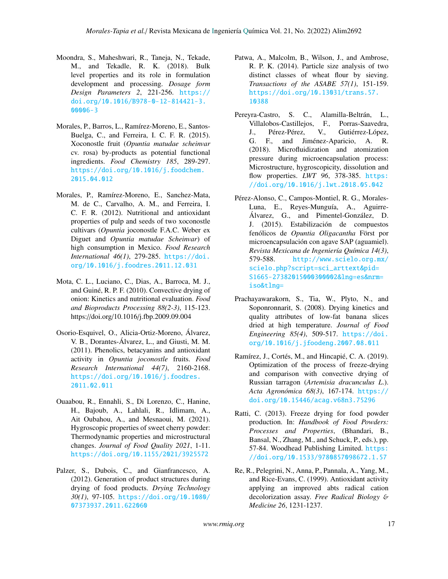- Moondra, S., Maheshwari, R., Taneja, N., Tekade, M., and Tekadle, R. K. (2018). Bulk level properties and its role in formulation development and processing. *Dosage form Design Parameters 2*, 221-256. [https://](https://doi.org/10.1016/B978-0-12-814421-3.00006-3) [doi.org/10.1016/B978-0-12-814421-3.](https://doi.org/10.1016/B978-0-12-814421-3.00006-3) [00006-3](https://doi.org/10.1016/B978-0-12-814421-3.00006-3)
- Morales, P., Barros, L., Ramírez-Moreno, E., Santos-Buelga, C., and Ferreira, I. C. F. R. (2015). Xoconostle fruit (*Opuntia matudae scheinvar* cv. rosa) by-products as potential functional ingredients. *Food Chemistry 185*, 289-297. [https://doi.org/10.1016/j.foodchem.](https://doi.org/10.1016/j.foodchem.2015.04.012) [2015.04.012](https://doi.org/10.1016/j.foodchem.2015.04.012)
- Morales, P., Ramírez-Moreno, E., Sanchez-Mata, M. de C., Carvalho, A. M., and Ferreira, I. C. F. R. (2012). Nutritional and antioxidant properties of pulp and seeds of two xoconostle cultivars (*Opuntia* joconostle F.A.C. Weber ex Diguet and *Opuntia matudae Scheinvar*) of high consumption in Mexico. *Food Research International 46(1)*, 279-285. [https://doi.](https://doi.org/10.1016/j.foodres.2011.12.031) [org/10.1016/j.foodres.2011.12.031](https://doi.org/10.1016/j.foodres.2011.12.031)
- Mota, C. L., Luciano, C., Dias, A., Barroca, M. J., and Guiné, R. P. F. (2010). Convective drying of onion: Kinetics and nutritional evaluation. *Food and Bioproducts Processing 88(2-3)*, 115-123. https://doi.org/10.1016/j.fbp.2009.09.004
- Osorio-Esquivel, O., Alicia-Ortiz-Moreno, Álvarez, V. B., Dorantes-Álvarez, L., and Giusti, M. M. (2011). Phenolics, betacyanins and antioxidant activity in *Opuntia joconostle* fruits. *Food Research International 44(7)*, 2160-2168. [https://doi.org/10.1016/j.foodres.](https://doi.org/10.1016/j.foodres.2011.02.011) [2011.02.011](https://doi.org/10.1016/j.foodres.2011.02.011)
- Ouaabou, R., Ennahli, S., Di Lorenzo, C., Hanine, H., Bajoub, A., Lahlali, R., Idlimam, A., Ait Oubahou, A., and Mesnaoui, M. (2021). Hygroscopic properties of sweet cherry powder: Thermodynamic properties and microstructural changes. *Journal of Food Quality 2021*, 1-11. <https://doi.org/10.1155/2021/3925572>
- Palzer, S., Dubois, C., and Gianfrancesco, A. (2012). Generation of product structures during drying of food products. *Drying Technology 30(1)*, 97-105. [https://doi.org/10.1080/](https://doi.org/10.1080/07373937.2011.622060) [07373937.2011.622060](https://doi.org/10.1080/07373937.2011.622060)
- Patwa, A., Malcolm, B., Wilson, J., and Ambrose, R. P. K. (2014). Particle size analysis of two distinct classes of wheat flour by sieving. *Transactions of the ASABE 57(1)*, 151-159. [https://doi.org/10.13031/trans.57.](https://doi.org/10.13031/trans.57.10388) [10388](https://doi.org/10.13031/trans.57.10388)
- Pereyra-Castro, S. C., Alamilla-Beltrán, L., Villalobos-Castillejos, F., Porras-Saavedra, J., Pérez-Pérez, V., Gutiérrez-López, G. F., and Jiménez-Aparicio, A. R. (2018). Microfluidization and atomization pressure during microencapsulation process: Microstructure, hygroscopicity, dissolution and flow properties. *LWT* 96, 378-385. [https:](https://doi.org/10.1016/j.lwt.2018.05.042) [//doi.org/10.1016/j.lwt.2018.05.042](https://doi.org/10.1016/j.lwt.2018.05.042)
- Pérez-Alonso, C., Campos-Montiel, R. G., Morales-Luna, E., Reyes-Munguía, A., Aguirre-Álvarez, G., and Pimentel-González, D. J. (2015). Estabilización de compuestos fenólicos de *Opuntia Oligacantha* Först por microencapsulación con agave SAP (aguamiel). *Revista Mexicana de Ingeniería Química 14(3)*, 579-588. [http://www.scielo.org.mx/](http://www.scielo.org.mx/scielo.php?script=sci_arttext&pid=S1665-27382015000300002&lng=es&nrm=iso&tlng=) [scielo.php?script=sci\\_arttext&pid=](http://www.scielo.org.mx/scielo.php?script=sci_arttext&pid=S1665-27382015000300002&lng=es&nrm=iso&tlng=) [S1665-27382015000300002&lng=es&nrm=](http://www.scielo.org.mx/scielo.php?script=sci_arttext&pid=S1665-27382015000300002&lng=es&nrm=iso&tlng=) [iso&tlng=](http://www.scielo.org.mx/scielo.php?script=sci_arttext&pid=S1665-27382015000300002&lng=es&nrm=iso&tlng=)
- Prachayawarakorn, S., Tia, W., Plyto, N., and Soponronnarit, S. (2008). Drying kinetics and quality attributes of low-fat banana slices dried at high temperature. *Journal of Food Engineering 85(4)*, 509-517. [https://doi.](https://doi.org/10.1016/j.jfoodeng.2007.08.011) [org/10.1016/j.jfoodeng.2007.08.011](https://doi.org/10.1016/j.jfoodeng.2007.08.011)
- Ramírez, J., Cortés, M., and Hincapié, C. A. (2019). Optimization of the process of freeze-drying and comparison with convective drying of Russian tarragon (*Artemisia dracunculus L*.). *Acta Agronómica 68(3)*, 167-174. [https://](https://doi.org/10.15446/acag.v68n3.75296) [doi.org/10.15446/acag.v68n3.75296](https://doi.org/10.15446/acag.v68n3.75296)
- Ratti, C. (2013). Freeze drying for food powder production. In: *Handbook of Food Powders: Processes and Properties*, (Bhandari, B., Bansal, N., Zhang, M., and Schuck, P., eds.), pp. 57-84. Woodhead Publishing Limited. [https:](https://doi.org/10.1533/9780857098672.1.57) [//doi.org/10.1533/9780857098672.1.57](https://doi.org/10.1533/9780857098672.1.57)
- Re, R., Pelegrini, N., Anna, P., Pannala, A., Yang, M., and Rice-Evans, C. (1999). Antioxidant activity applying an improved abts radical cation decolorization assay. *Free Radical Biology* & *Medicine 26*, 1231-1237.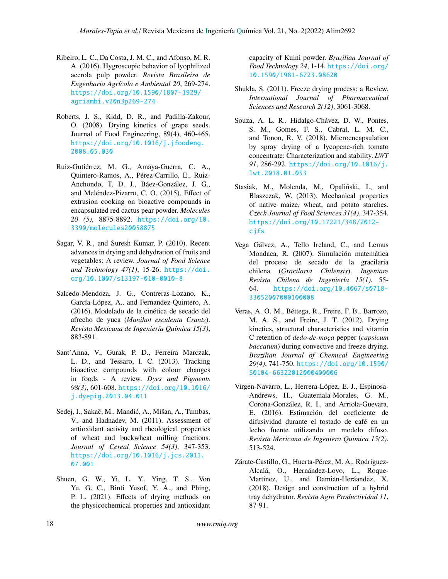- Ribeiro, L. C., Da Costa, J. M. C., and Afonso, M. R. A. (2016). Hygroscopic behavior of lyophilized acerola pulp powder. *Revista Brasileira de Engenharia Agrícola e Ambiental 20*, 269-274. [https://doi.org/10.1590/1807-1929/](https://doi.org/10.1590/1807-1929/agriambi.v20n3p269-274) [agriambi.v20n3p269-274](https://doi.org/10.1590/1807-1929/agriambi.v20n3p269-274)
- Roberts, J. S., Kidd, D. R., and Padilla-Zakour, O. (2008). Drying kinetics of grape seeds. Journal of Food Engineering, 89(4), 460-465. [https://doi.org/10.1016/j.jfoodeng.](https://doi.org/10.1016/j.jfoodeng.2008.05.030) [2008.05.030](https://doi.org/10.1016/j.jfoodeng.2008.05.030)
- Ruiz-Gutiérrez, M. G., Amaya-Guerra, C. A., Quintero-Ramos, A., Pérez-Carrillo, E., Ruiz-Anchondo, T. D. J., Báez-González, J. G., and Meléndez-Pizarro, C. O. (2015). Effect of extrusion cooking on bioactive compounds in encapsulated red cactus pear powder. *Molecules 20 (5)*, 8875-8892. [https://doi.org/10.](https://doi.org/10.3390/molecules20058875) [3390/molecules20058875](https://doi.org/10.3390/molecules20058875)
- Sagar, V. R., and Suresh Kumar, P. (2010). Recent advances in drying and dehydration of fruits and vegetables: A review. *Journal of Food Science and Technology 47(1)*, 15-26. [https://doi.](https://doi.org/10.1007/s13197-010-0010-8) [org/10.1007/s13197-010-0010-8](https://doi.org/10.1007/s13197-010-0010-8)
- Salcedo-Mendoza, J. G., Contreras-Lozano, K., García-López, A., and Fernandez-Quintero, A. (2016). Modelado de la cinética de secado del afrecho de yuca (*Manihot esculenta Crantz*). *Revista Mexicana de Ingeniería Química 15(3)*, 883-891.
- Sant'Anna, V., Gurak, P. D., Ferreira Marczak, L. D., and Tessaro, I. C. (2013). Tracking bioactive compounds with colour changes in foods - A review. *Dyes and Pigments 98(3)*, 601-608. [https://doi.org/10.1016/](https://doi.org/10.1016/j.dyepig.2013.04.011) [j.dyepig.2013.04.011](https://doi.org/10.1016/j.dyepig.2013.04.011)
- Sedej, I., Sakač, M., Mandić, A., Mišan, A., Tumbas, V., and Hadnadev, M. (2011). Assessment of antioxidant activity and rheological properties of wheat and buckwheat milling fractions. *Journal of Cereal Science 54(3)*, 347-353. [https://doi.org/10.1016/j.jcs.2011.](https://doi.org/10.1016/j.jcs.2011.07.001) [07.001](https://doi.org/10.1016/j.jcs.2011.07.001)
- Shuen, G. W., Yi, L. Y., Ying, T. S., Von Yu, G. C., Binti Yusof, Y. A., and Phing, P. L. (2021). Effects of drying methods on the physicochemical properties and antioxidant

capacity of Kuini powder. *Brazilian Journal of Food Technology 24*, 1-14. [https://doi.org/](https://doi.org/10.1590/1981-6723.08620) [10.1590/1981-6723.08620](https://doi.org/10.1590/1981-6723.08620)

- Shukla, S. (2011). Freeze drying process: a Review. *International Journal of Pharmaceutical Sciences and Research 2(12)*, 3061-3068.
- Souza, A. L. R., Hidalgo-Chávez, D. W., Pontes, S. M., Gomes, F. S., Cabral, L. M. C., and Tonon, R. V. (2018). Microencapsulation by spray drying of a lycopene-rich tomato concentrate: Characterization and stability. *LWT 91*, 286-292. [https://doi.org/10.1016/j.](https://doi.org/10.1016/j.lwt.2018.01.053) [lwt.2018.01.053](https://doi.org/10.1016/j.lwt.2018.01.053)
- Stasiak, M., Molenda, M., Opaliñski, I., and Blaszczak, W. (2013). Mechanical properties of native maize, wheat, and potato starches. *Czech Journal of Food Sciences 31(4)*, 347-354. [https://doi.org/10.17221/348/2012](https://doi.org/10.17221/348/2012-cjfs) [cjfs](https://doi.org/10.17221/348/2012-cjfs)
- Vega Gálvez, A., Tello Ireland, C., and Lemus Mondaca, R. (2007). Simulación matemática del proceso de secado de la gracilaria chilena (*Gracilaria Chilensis*). *Ingeniare Revista Chilena de Ingeniería 15(1)*, 55- 64. [https://doi.org/10.4067/s0718-](https://doi.org/10.4067/s0718-33052007000100008) [33052007000100008](https://doi.org/10.4067/s0718-33052007000100008)
- Veras, A. O. M., Béttega, R., Freire, F. B., Barrozo, M. A. S., and Freire, J. T. (2012). Drying kinetics, structural characteristics and vitamin C retention of *dedo-de-moça* pepper (*capsicum baccatum*) during convective and freeze drying. *Brazilian Journal of Chemical Engineering 29(4)*, 741-750. [https://doi.org/10.1590/](https://doi.org/10.1590/S0104-66322012000400006) [S0104-66322012000400006](https://doi.org/10.1590/S0104-66322012000400006)
- Virgen-Navarro, L., Herrera-López, E. J., Espinosa-Andrews, H., Guatemala-Morales, G. M., Corona-González, R. I., and Arriola-Guevara, E. (2016). Estimación del coeficiente de difusividad durante el tostado de café en un lecho fuente utilizando un modelo difuso. *Revista Mexicana de Ingeniera Quimica 15(2)*, 513-524.
- Zárate-Castillo, G., Huerta-Pérez, M. A., Rodríguez-Alcalá, O., Hernández-Loyo, L., Roque-Martinez, U., and Damián-Heráandez, X. (2018). Design and construction of a hybrid tray dehydrator. *Revista Agro Productividad 11*, 87-91.